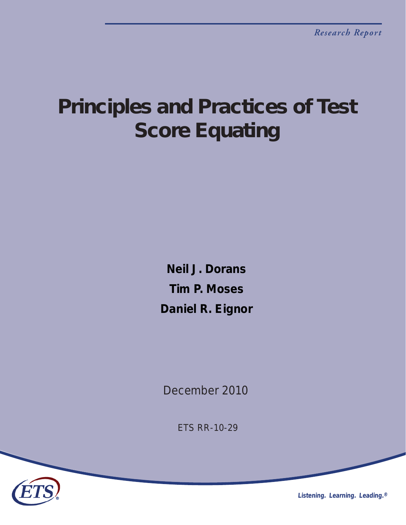# *Principles and Practices of Test Score Equating*

*Neil J. Dorans Tim P. Moses Daniel R. Eignor*

*December 2010*

*ETS RR-10-29*



*Listening. Learning. Leading.®*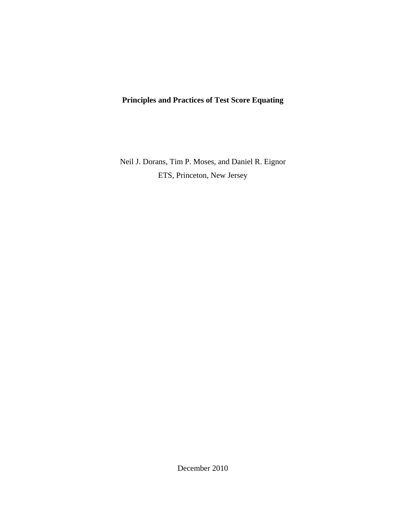# **Principles and Practices of Test Score Equating**

Neil J. Dorans, Tim P. Moses, and Daniel R. Eignor ETS, Princeton, New Jersey

December 2010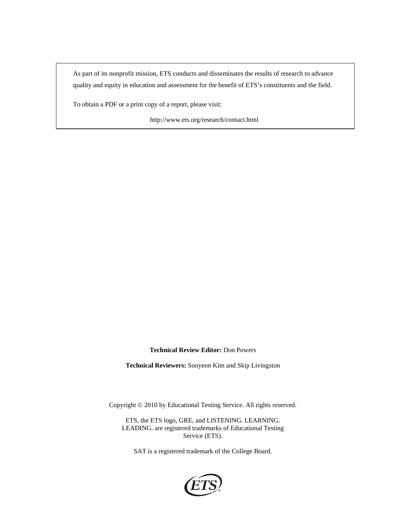As part of its nonprofit mission, ETS conducts and disseminates the results of research to advance quality and equity in education and assessment for the benefit of ETS's constituents and the field.

To obtain a PDF or a print copy of a report, please visit:

http://www.ets.org/research/contact.html

**Technical Review Editor:** Don Powers

**Technical Reviewers:** Sooyeon Kim and Skip Livingston

Copyright © 2010 by Educational Testing Service. All rights reserved.

ETS, the ETS logo, GRE, and LISTENING. LEARNING. LEADING. are registered trademarks of Educational Testing Service (ETS).

SAT is a registered trademark of the College Board.

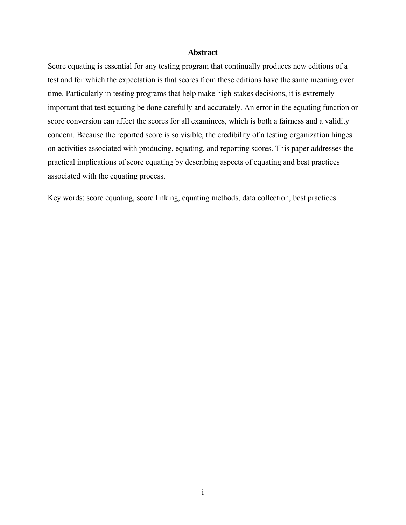# **Abstract**

Score equating is essential for any testing program that continually produces new editions of a test and for which the expectation is that scores from these editions have the same meaning over time. Particularly in testing programs that help make high-stakes decisions, it is extremely important that test equating be done carefully and accurately. An error in the equating function or score conversion can affect the scores for all examinees, which is both a fairness and a validity concern. Because the reported score is so visible, the credibility of a testing organization hinges on activities associated with producing, equating, and reporting scores. This paper addresses the practical implications of score equating by describing aspects of equating and best practices associated with the equating process.

Key words: score equating, score linking, equating methods, data collection, best practices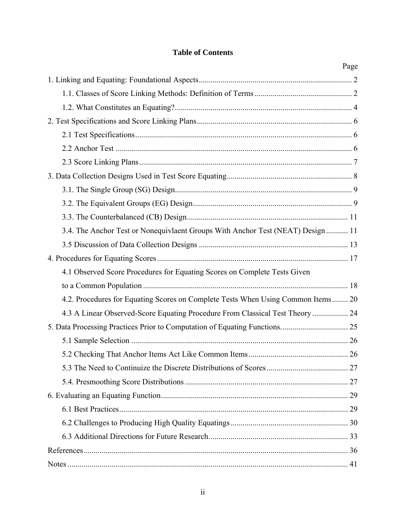# **Table of Contents**

|                                                                                  | Page |
|----------------------------------------------------------------------------------|------|
|                                                                                  |      |
|                                                                                  |      |
|                                                                                  |      |
|                                                                                  |      |
|                                                                                  |      |
|                                                                                  |      |
|                                                                                  |      |
|                                                                                  |      |
|                                                                                  |      |
|                                                                                  |      |
|                                                                                  |      |
| 3.4. The Anchor Test or Nonequivlaent Groups With Anchor Test (NEAT) Design  11  |      |
|                                                                                  |      |
|                                                                                  |      |
| 4.1 Observed Score Procedures for Equating Scores on Complete Tests Given        |      |
|                                                                                  |      |
| 4.2. Procedures for Equating Scores on Complete Tests When Using Common Items 20 |      |
| 4.3 A Linear Observed-Score Equating Procedure From Classical Test Theory  24    |      |
|                                                                                  |      |
|                                                                                  |      |
|                                                                                  |      |
|                                                                                  |      |
|                                                                                  |      |
|                                                                                  |      |
|                                                                                  |      |
|                                                                                  |      |
|                                                                                  |      |
|                                                                                  |      |
|                                                                                  |      |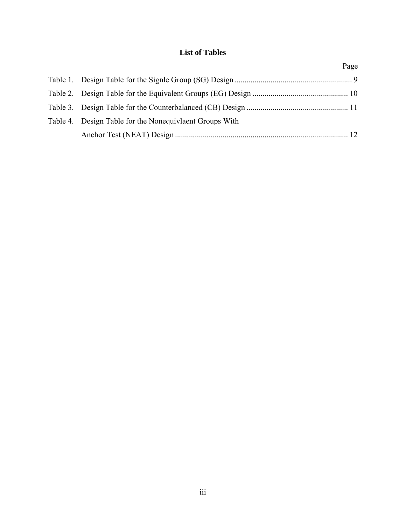# **List of Tables**

|                                                         | Page |
|---------------------------------------------------------|------|
|                                                         |      |
|                                                         |      |
|                                                         |      |
| Table 4. Design Table for the Nonequivlaent Groups With |      |
|                                                         |      |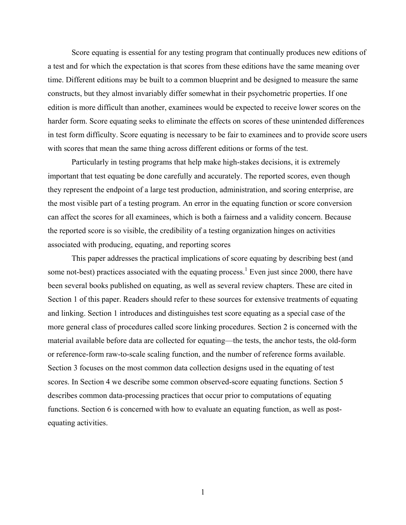Score equating is essential for any testing program that continually produces new editions of a test and for which the expectation is that scores from these editions have the same meaning over time. Different editions may be built to a common blueprint and be designed to measure the same constructs, but they almost invariably differ somewhat in their psychometric properties. If one edition is more difficult than another, examinees would be expected to receive lower scores on the harder form. Score equating seeks to eliminate the effects on scores of these unintended differences in test form difficulty. Score equating is necessary to be fair to examinees and to provide score users with scores that mean the same thing across different editions or forms of the test.

Particularly in testing programs that help make high-stakes decisions, it is extremely important that test equating be done carefully and accurately. The reported scores, even though they represent the endpoint of a large test production, administration, and scoring enterprise, are the most visible part of a testing program. An error in the equating function or score conversion can affect the scores for all examinees, which is both a fairness and a validity concern. Because the reported score is so visible, the credibility of a testing organization hinges on activities associated with producing, equating, and reporting scores

This paper addresses the practical implications of score equating by describing best (and some not-best) practices associated with the equating process.<sup>1</sup> Even just since 2000, there have been several books published on equating, as well as several review chapters. These are cited in Section 1 of this paper. Readers should refer to these sources for extensive treatments of equating and linking. Section 1 introduces and distinguishes test score equating as a special case of the more general class of procedures called score linking procedures. Section 2 is concerned with the material available before data are collected for equating—the tests, the anchor tests, the old-form or reference-form raw-to-scale scaling function, and the number of reference forms available. Section 3 focuses on the most common data collection designs used in the equating of test scores. In Section 4 we describe some common observed-score equating functions. Section 5 describes common data-processing practices that occur prior to computations of equating functions. Section 6 is concerned with how to evaluate an equating function, as well as postequating activities.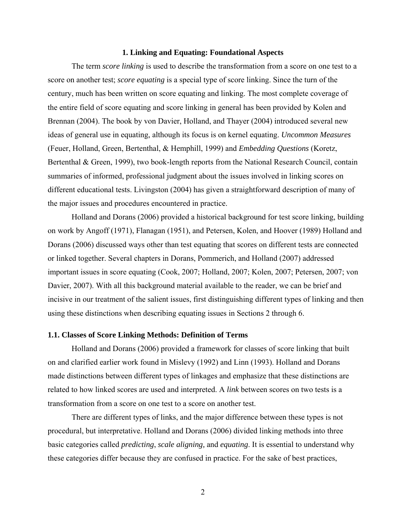## **1. Linking and Equating: Foundational Aspects**

The term *score linking* is used to describe the transformation from a score on one test to a score on another test; *score equating* is a special type of score linking. Since the turn of the century, much has been written on score equating and linking. The most complete coverage of the entire field of score equating and score linking in general has been provided by Kolen and Brennan (2004). The book by von Davier, Holland, and Thayer (2004) introduced several new ideas of general use in equating, although its focus is on kernel equating. *Uncommon Measures* (Feuer, Holland, Green, Bertenthal, & Hemphill, 1999) and *Embedding Questions* (Koretz, Bertenthal & Green, 1999), two book-length reports from the National Research Council, contain summaries of informed, professional judgment about the issues involved in linking scores on different educational tests. Livingston (2004) has given a straightforward description of many of the major issues and procedures encountered in practice.

Holland and Dorans (2006) provided a historical background for test score linking, building on work by Angoff (1971), Flanagan (1951), and Petersen, Kolen, and Hoover (1989) Holland and Dorans (2006) discussed ways other than test equating that scores on different tests are connected or linked together. Several chapters in Dorans, Pommerich, and Holland (2007) addressed important issues in score equating (Cook, 2007; Holland, 2007; Kolen, 2007; Petersen, 2007; von Davier, 2007). With all this background material available to the reader, we can be brief and incisive in our treatment of the salient issues, first distinguishing different types of linking and then using these distinctions when describing equating issues in Sections 2 through 6.

### **1.1. Classes of Score Linking Methods: Definition of Terms**

Holland and Dorans (2006) provided a framework for classes of score linking that built on and clarified earlier work found in Mislevy (1992) and Linn (1993). Holland and Dorans made distinctions between different types of linkages and emphasize that these distinctions are related to how linked scores are used and interpreted. A *link* between scores on two tests is a transformation from a score on one test to a score on another test.

There are different types of links, and the major difference between these types is not procedural, but interpretative. Holland and Dorans (2006) divided linking methods into three basic categories called *predicting*, *scale aligning,* and *equating*. It is essential to understand why these categories differ because they are confused in practice. For the sake of best practices,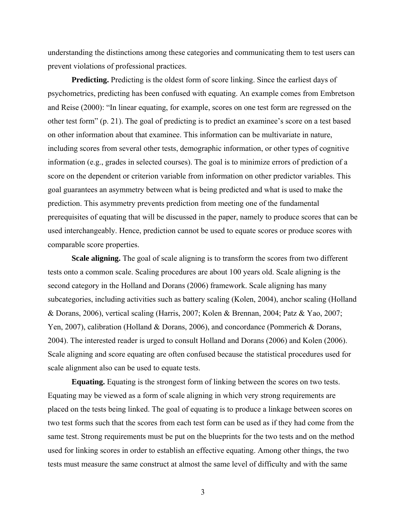understanding the distinctions among these categories and communicating them to test users can prevent violations of professional practices.

**Predicting.** Predicting is the oldest form of score linking. Since the earliest days of psychometrics, predicting has been confused with equating. An example comes from Embretson and Reise (2000): "In linear equating, for example, scores on one test form are regressed on the other test form" (p. 21). The goal of predicting is to predict an examinee's score on a test based on other information about that examinee. This information can be multivariate in nature, including scores from several other tests, demographic information, or other types of cognitive information (e.g., grades in selected courses). The goal is to minimize errors of prediction of a score on the dependent or criterion variable from information on other predictor variables. This goal guarantees an asymmetry between what is being predicted and what is used to make the prediction. This asymmetry prevents prediction from meeting one of the fundamental prerequisites of equating that will be discussed in the paper, namely to produce scores that can be used interchangeably. Hence, prediction cannot be used to equate scores or produce scores with comparable score properties.

**Scale aligning.** The goal of scale aligning is to transform the scores from two different tests onto a common scale. Scaling procedures are about 100 years old. Scale aligning is the second category in the Holland and Dorans (2006) framework. Scale aligning has many subcategories, including activities such as battery scaling (Kolen, 2004), anchor scaling (Holland & Dorans, 2006), vertical scaling (Harris, 2007; Kolen & Brennan, 2004; Patz & Yao, 2007; Yen, 2007), calibration (Holland & Dorans, 2006), and concordance (Pommerich & Dorans, 2004). The interested reader is urged to consult Holland and Dorans (2006) and Kolen (2006). Scale aligning and score equating are often confused because the statistical procedures used for scale alignment also can be used to equate tests.

**Equating.** Equating is the strongest form of linking between the scores on two tests. Equating may be viewed as a form of scale aligning in which very strong requirements are placed on the tests being linked. The goal of equating is to produce a linkage between scores on two test forms such that the scores from each test form can be used as if they had come from the same test. Strong requirements must be put on the blueprints for the two tests and on the method used for linking scores in order to establish an effective equating. Among other things, the two tests must measure the same construct at almost the same level of difficulty and with the same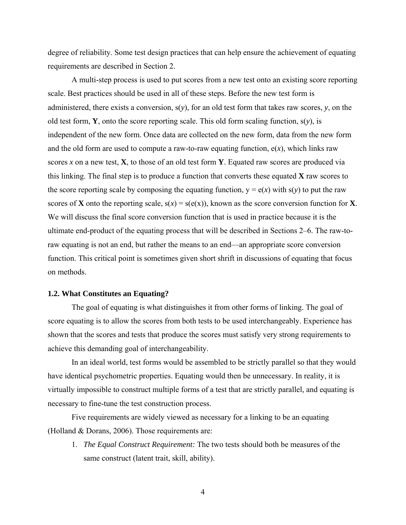degree of reliability. Some test design practices that can help ensure the achievement of equating requirements are described in Section 2.

A multi-step process is used to put scores from a new test onto an existing score reporting scale. Best practices should be used in all of these steps. Before the new test form is administered, there exists a conversion, s(*y*), for an old test form that takes raw scores, *y*, on the old test form, **Y**, onto the score reporting scale. This old form scaling function, s(*y*), is independent of the new form. Once data are collected on the new form, data from the new form and the old form are used to compute a raw-to-raw equating function,  $e(x)$ , which links raw scores *x* on a new test, **X**, to those of an old test form **Y**. Equated raw scores are produced via this linking. The final step is to produce a function that converts these equated **X** raw scores to the score reporting scale by composing the equating function,  $y = e(x)$  with  $s(y)$  to put the raw scores of **X** onto the reporting scale,  $s(x) = s(e(x))$ , known as the score conversion function for **X**. We will discuss the final score conversion function that is used in practice because it is the ultimate end-product of the equating process that will be described in Sections 2–6. The raw-toraw equating is not an end, but rather the means to an end—an appropriate score conversion function. This critical point is sometimes given short shrift in discussions of equating that focus on methods.

#### **1.2. What Constitutes an Equating?**

The goal of equating is what distinguishes it from other forms of linking. The goal of score equating is to allow the scores from both tests to be used interchangeably. Experience has shown that the scores and tests that produce the scores must satisfy very strong requirements to achieve this demanding goal of interchangeability.

In an ideal world, test forms would be assembled to be strictly parallel so that they would have identical psychometric properties. Equating would then be unnecessary. In reality, it is virtually impossible to construct multiple forms of a test that are strictly parallel, and equating is necessary to fine-tune the test construction process.

Five requirements are widely viewed as necessary for a linking to be an equating (Holland & Dorans, 2006). Those requirements are:

1. *The Equal Construct Requirement:* The two tests should both be measures of the same construct (latent trait, skill, ability).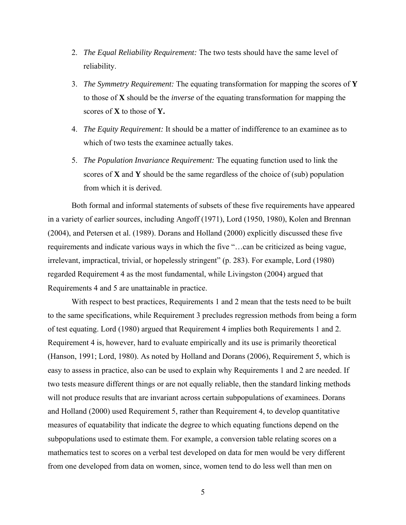- 2. *The Equal Reliability Requirement:* The two tests should have the same level of reliability.
- 3. *The Symmetry Requirement:* The equating transformation for mapping the scores of **Y** to those of **X** should be the *inverse* of the equating transformation for mapping the scores of **X** to those of **Y.**
- 4. *The Equity Requirement:* It should be a matter of indifference to an examinee as to which of two tests the examinee actually takes.
- 5. *The Population Invariance Requirement:* The equating function used to link the scores of **X** and **Y** should be the same regardless of the choice of (sub) population from which it is derived.

Both formal and informal statements of subsets of these five requirements have appeared in a variety of earlier sources, including Angoff (1971), Lord (1950, 1980), Kolen and Brennan (2004), and Petersen et al. (1989). Dorans and Holland (2000) explicitly discussed these five requirements and indicate various ways in which the five "…can be criticized as being vague, irrelevant, impractical, trivial, or hopelessly stringent" (p. 283). For example, Lord (1980) regarded Requirement 4 as the most fundamental, while Livingston (2004) argued that Requirements 4 and 5 are unattainable in practice.

With respect to best practices, Requirements 1 and 2 mean that the tests need to be built to the same specifications, while Requirement 3 precludes regression methods from being a form of test equating. Lord (1980) argued that Requirement 4 implies both Requirements 1 and 2. Requirement 4 is, however, hard to evaluate empirically and its use is primarily theoretical (Hanson, 1991; Lord, 1980). As noted by Holland and Dorans (2006), Requirement 5, which is easy to assess in practice, also can be used to explain why Requirements 1 and 2 are needed. If two tests measure different things or are not equally reliable, then the standard linking methods will not produce results that are invariant across certain subpopulations of examinees. Dorans and Holland (2000) used Requirement 5, rather than Requirement 4, to develop quantitative measures of equatability that indicate the degree to which equating functions depend on the subpopulations used to estimate them. For example, a conversion table relating scores on a mathematics test to scores on a verbal test developed on data for men would be very different from one developed from data on women, since, women tend to do less well than men on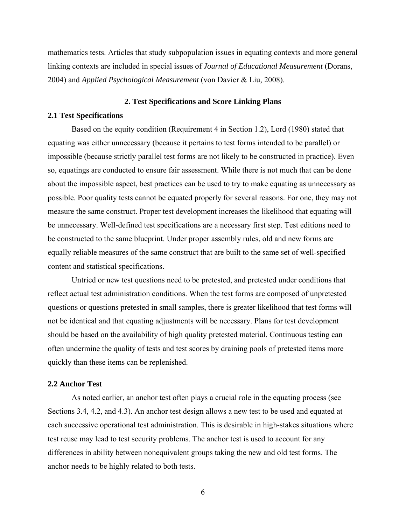mathematics tests. Articles that study subpopulation issues in equating contexts and more general linking contexts are included in special issues of *Journal of Educational Measurement* (Dorans, 2004) and *Applied Psychological Measurement* (von Davier & Liu, 2008).

# **2. Test Specifications and Score Linking Plans**

#### **2.1 Test Specifications**

Based on the equity condition (Requirement 4 in Section 1.2), Lord (1980) stated that equating was either unnecessary (because it pertains to test forms intended to be parallel) or impossible (because strictly parallel test forms are not likely to be constructed in practice). Even so, equatings are conducted to ensure fair assessment. While there is not much that can be done about the impossible aspect, best practices can be used to try to make equating as unnecessary as possible. Poor quality tests cannot be equated properly for several reasons. For one, they may not measure the same construct. Proper test development increases the likelihood that equating will be unnecessary. Well-defined test specifications are a necessary first step. Test editions need to be constructed to the same blueprint. Under proper assembly rules, old and new forms are equally reliable measures of the same construct that are built to the same set of well-specified content and statistical specifications.

Untried or new test questions need to be pretested, and pretested under conditions that reflect actual test administration conditions. When the test forms are composed of unpretested questions or questions pretested in small samples, there is greater likelihood that test forms will not be identical and that equating adjustments will be necessary. Plans for test development should be based on the availability of high quality pretested material. Continuous testing can often undermine the quality of tests and test scores by draining pools of pretested items more quickly than these items can be replenished.

# **2.2 Anchor Test**

As noted earlier, an anchor test often plays a crucial role in the equating process (see Sections 3.4, 4.2, and 4.3). An anchor test design allows a new test to be used and equated at each successive operational test administration. This is desirable in high-stakes situations where test reuse may lead to test security problems. The anchor test is used to account for any differences in ability between nonequivalent groups taking the new and old test forms. The anchor needs to be highly related to both tests.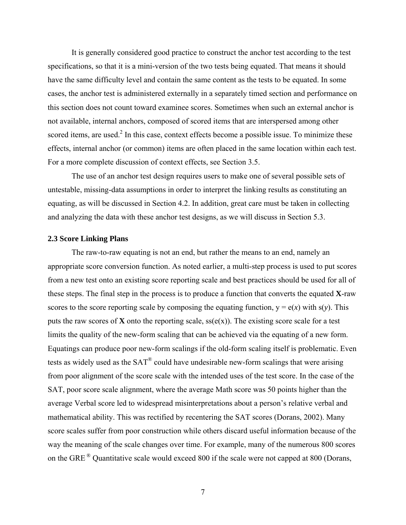It is generally considered good practice to construct the anchor test according to the test specifications, so that it is a mini-version of the two tests being equated. That means it should have the same difficulty level and contain the same content as the tests to be equated. In some cases, the anchor test is administered externally in a separately timed section and performance on this section does not count toward examinee scores. Sometimes when such an external anchor is not available, internal anchors, composed of scored items that are interspersed among other scored items, are used. $2$  In this case, context effects become a possible issue. To minimize these effects, internal anchor (or common) items are often placed in the same location within each test. For a more complete discussion of context effects, see Section 3.5.

The use of an anchor test design requires users to make one of several possible sets of untestable, missing-data assumptions in order to interpret the linking results as constituting an equating, as will be discussed in Section 4.2. In addition, great care must be taken in collecting and analyzing the data with these anchor test designs, as we will discuss in Section 5.3.

#### **2.3 Score Linking Plans**

The raw-to-raw equating is not an end, but rather the means to an end, namely an appropriate score conversion function. As noted earlier, a multi-step process is used to put scores from a new test onto an existing score reporting scale and best practices should be used for all of these steps. The final step in the process is to produce a function that converts the equated **X**-raw scores to the score reporting scale by composing the equating function,  $y = e(x)$  with  $s(y)$ . This puts the raw scores of **X** onto the reporting scale,  $\text{ss}(e(x))$ . The existing score scale for a test limits the quality of the new-form scaling that can be achieved via the equating of a new form. Equatings can produce poor new-form scalings if the old-form scaling itself is problematic. Even tests as widely used as the SAT® could have undesirable new-form scalings that were arising from poor alignment of the score scale with the intended uses of the test score. In the case of the SAT, poor score scale alignment, where the average Math score was 50 points higher than the average Verbal score led to widespread misinterpretations about a person's relative verbal and mathematical ability. This was rectified by recentering the SAT scores (Dorans, 2002). Many score scales suffer from poor construction while others discard useful information because of the way the meaning of the scale changes over time. For example, many of the numerous 800 scores on the GRE<sup>®</sup> Quantitative scale would exceed 800 if the scale were not capped at 800 (Dorans,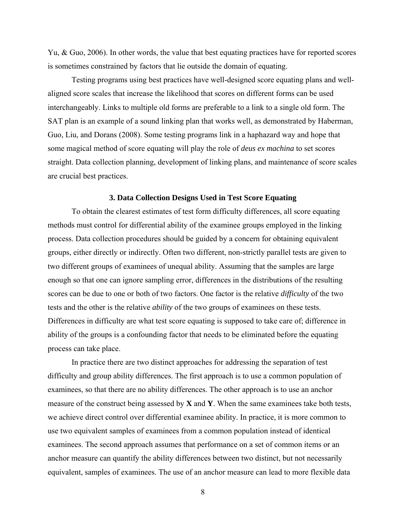Yu, & Guo, 2006). In other words, the value that best equating practices have for reported scores is sometimes constrained by factors that lie outside the domain of equating.

Testing programs using best practices have well-designed score equating plans and wellaligned score scales that increase the likelihood that scores on different forms can be used interchangeably. Links to multiple old forms are preferable to a link to a single old form. The SAT plan is an example of a sound linking plan that works well, as demonstrated by Haberman, Guo, Liu, and Dorans (2008). Some testing programs link in a haphazard way and hope that some magical method of score equating will play the role of *deus ex machina* to set scores straight. Data collection planning, development of linking plans, and maintenance of score scales are crucial best practices.

#### **3. Data Collection Designs Used in Test Score Equating**

To obtain the clearest estimates of test form difficulty differences, all score equating methods must control for differential ability of the examinee groups employed in the linking process. Data collection procedures should be guided by a concern for obtaining equivalent groups, either directly or indirectly. Often two different, non-strictly parallel tests are given to two different groups of examinees of unequal ability. Assuming that the samples are large enough so that one can ignore sampling error, differences in the distributions of the resulting scores can be due to one or both of two factors. One factor is the relative *difficulty* of the two tests and the other is the relative *ability* of the two groups of examinees on these tests. Differences in difficulty are what test score equating is supposed to take care of; difference in ability of the groups is a confounding factor that needs to be eliminated before the equating process can take place.

In practice there are two distinct approaches for addressing the separation of test difficulty and group ability differences. The first approach is to use a common population of examinees, so that there are no ability differences. The other approach is to use an anchor measure of the construct being assessed by **X** and **Y**. When the same examinees take both tests, we achieve direct control over differential examinee ability. In practice, it is more common to use two equivalent samples of examinees from a common population instead of identical examinees. The second approach assumes that performance on a set of common items or an anchor measure can quantify the ability differences between two distinct, but not necessarily equivalent, samples of examinees. The use of an anchor measure can lead to more flexible data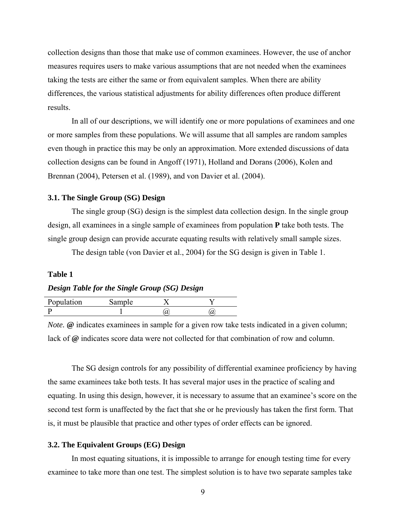collection designs than those that make use of common examinees. However, the use of anchor measures requires users to make various assumptions that are not needed when the examinees taking the tests are either the same or from equivalent samples. When there are ability differences, the various statistical adjustments for ability differences often produce different results.

In all of our descriptions, we will identify one or more populations of examinees and one or more samples from these populations. We will assume that all samples are random samples even though in practice this may be only an approximation. More extended discussions of data collection designs can be found in Angoff (1971), Holland and Dorans (2006), Kolen and Brennan (2004), Petersen et al. (1989), and von Davier et al. (2004).

# **3.1. The Single Group (SG) Design**

The single group (SG) design is the simplest data collection design. In the single group design, all examinees in a single sample of examinees from population **P** take both tests. The single group design can provide accurate equating results with relatively small sample sizes.

The design table (von Davier et al., 2004) for the SG design is given in Table 1.

# **Table 1**

# *Design Table for the Single Group (SG) Design*

| Population | √amn<br>۱Δ |  |
|------------|------------|--|
|            |            |  |

*Note.* **@** indicates examinees in sample for a given row take tests indicated in a given column; lack of **@** indicates score data were not collected for that combination of row and column.

The SG design controls for any possibility of differential examinee proficiency by having the same examinees take both tests. It has several major uses in the practice of scaling and equating. In using this design, however, it is necessary to assume that an examinee's score on the second test form is unaffected by the fact that she or he previously has taken the first form. That is, it must be plausible that practice and other types of order effects can be ignored.

#### **3.2. The Equivalent Groups (EG) Design**

In most equating situations, it is impossible to arrange for enough testing time for every examinee to take more than one test. The simplest solution is to have two separate samples take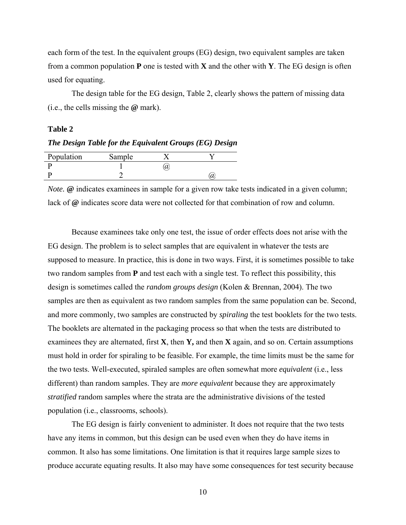each form of the test. In the equivalent groups (EG) design, two equivalent samples are taken from a common population **P** one is tested with **X** and the other with **Y**. The EG design is often used for equating.

The design table for the EG design, Table 2, clearly shows the pattern of missing data (i.e., the cells missing the **@** mark).

#### **Table 2**

*The Design Table for the Equivalent Groups (EG) Design* 

| Population | Sample |   |                    |
|------------|--------|---|--------------------|
|            |        | u |                    |
|            |        |   | $\boldsymbol{\mu}$ |
|            |        |   |                    |

*Note.* **@** indicates examinees in sample for a given row take tests indicated in a given column; lack of **@** indicates score data were not collected for that combination of row and column.

Because examinees take only one test, the issue of order effects does not arise with the EG design. The problem is to select samples that are equivalent in whatever the tests are supposed to measure. In practice, this is done in two ways. First, it is sometimes possible to take two random samples from **P** and test each with a single test. To reflect this possibility, this design is sometimes called the *random groups design* (Kolen & Brennan, 2004). The two samples are then as equivalent as two random samples from the same population can be. Second, and more commonly, two samples are constructed by *spiraling* the test booklets for the two tests. The booklets are alternated in the packaging process so that when the tests are distributed to examinees they are alternated, first **X**, then **Y,** and then **X** again, and so on. Certain assumptions must hold in order for spiraling to be feasible. For example, the time limits must be the same for the two tests. Well-executed, spiraled samples are often somewhat more *equivalent* (i.e., less different) than random samples. They are *more equivalent* because they are approximately *stratified* random samples where the strata are the administrative divisions of the tested population (i.e., classrooms, schools).

The EG design is fairly convenient to administer. It does not require that the two tests have any items in common, but this design can be used even when they do have items in common. It also has some limitations. One limitation is that it requires large sample sizes to produce accurate equating results. It also may have some consequences for test security because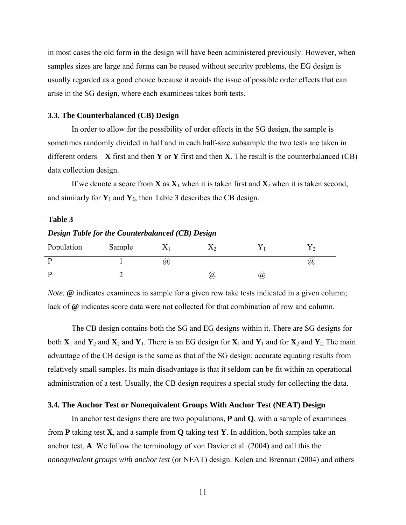in most cases the old form in the design will have been administered previously. However, when samples sizes are large and forms can be reused without security problems, the EG design is usually regarded as a good choice because it avoids the issue of possible order effects that can arise in the SG design, where each examinees takes *both* tests.

# **3.3. The Counterbalanced (CB) Design**

In order to allow for the possibility of order effects in the SG design, the sample is sometimes randomly divided in half and in each half-size subsample the two tests are taken in different orders—**X** first and then **Y** or **Y** first and then **X**. The result is the counterbalanced (CB) data collection design.

If we denote a score from **X** as  $X_1$  when it is taken first and  $X_2$  when it is taken second, and similarly for  $Y_1$  and  $Y_2$ , then Table 3 describes the CB design.

# **Table 3**

*Design Table for the Counterbalanced (CB) Design* 

| Population | Sample |     |     |           |               |
|------------|--------|-----|-----|-----------|---------------|
| D          |        | (a) |     |           | $\bm{\omega}$ |
|            |        |     | (a) | $(\omega$ |               |

*Note.* **@** indicates examinees in sample for a given row take tests indicated in a given column; lack of **@** indicates score data were not collected for that combination of row and column.

The CB design contains both the SG and EG designs within it. There are SG designs for both  $X_1$  and  $Y_2$  and  $X_2$  and  $Y_1$ . There is an EG design for  $X_1$  and  $Y_1$  and for  $X_2$  and  $Y_2$ . The main advantage of the CB design is the same as that of the SG design: accurate equating results from relatively small samples. Its main disadvantage is that it seldom can be fit within an operational administration of a test. Usually, the CB design requires a special study for collecting the data.

# **3.4. The Anchor Test or Nonequivalent Groups With Anchor Test (NEAT) Design**

In anchor test designs there are two populations, **P** and **Q**, with a sample of examinees from **P** taking test **X**, and a sample from **Q** taking test **Y**. In addition, both samples take an anchor test, **A**. We follow the terminology of von Davier et al. (2004) and call this the *nonequivalent groups with anchor test* (or NEAT) design. Kolen and Brennan (2004) and others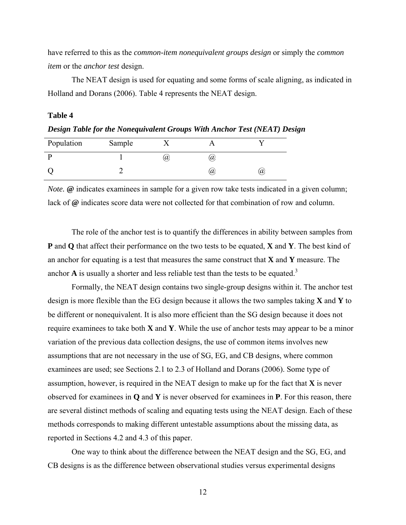have referred to this as the *common-item nonequivalent groups design* or simply the *common item* or the *anchor test* design.

The NEAT design is used for equating and some forms of scale aligning, as indicated in Holland and Dorans (2006). Table 4 represents the NEAT design.

#### **Table 4**

*Design Table for the Nonequivalent Groups With Anchor Test (NEAT) Design* 

| Population | Sample |    |       |    |
|------------|--------|----|-------|----|
|            |        | (a | $\mu$ |    |
|            |        |    | (a    | (a |

*Note.* **@** indicates examinees in sample for a given row take tests indicated in a given column; lack of **@** indicates score data were not collected for that combination of row and column.

The role of the anchor test is to quantify the differences in ability between samples from **P** and **Q** that affect their performance on the two tests to be equated, **X** and **Y**. The best kind of an anchor for equating is a test that measures the same construct that **X** and **Y** measure. The anchor  $\bf{A}$  is usually a shorter and less reliable test than the tests to be equated.<sup>3</sup>

Formally, the NEAT design contains two single-group designs within it. The anchor test design is more flexible than the EG design because it allows the two samples taking **X** and **Y** to be different or nonequivalent. It is also more efficient than the SG design because it does not require examinees to take both **X** and **Y**. While the use of anchor tests may appear to be a minor variation of the previous data collection designs, the use of common items involves new assumptions that are not necessary in the use of SG, EG, and CB designs, where common examinees are used; see Sections 2.1 to 2.3 of Holland and Dorans (2006). Some type of assumption, however, is required in the NEAT design to make up for the fact that **X** is never observed for examinees in **Q** and **Y** is never observed for examinees in **P**. For this reason, there are several distinct methods of scaling and equating tests using the NEAT design. Each of these methods corresponds to making different untestable assumptions about the missing data, as reported in Sections 4.2 and 4.3 of this paper.

One way to think about the difference between the NEAT design and the SG, EG, and CB designs is as the difference between observational studies versus experimental designs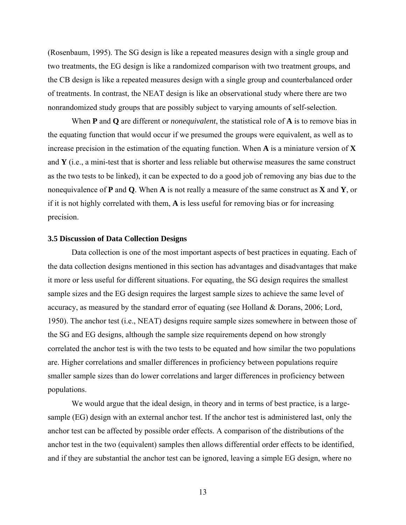(Rosenbaum, 1995). The SG design is like a repeated measures design with a single group and two treatments, the EG design is like a randomized comparison with two treatment groups, and the CB design is like a repeated measures design with a single group and counterbalanced order of treatments. In contrast, the NEAT design is like an observational study where there are two nonrandomized study groups that are possibly subject to varying amounts of self-selection.

When **P** and **Q** are different or *nonequivalent*, the statistical role of **A** is to remove bias in the equating function that would occur if we presumed the groups were equivalent, as well as to increase precision in the estimation of the equating function. When **A** is a miniature version of **X** and **Y** (i.e., a mini-test that is shorter and less reliable but otherwise measures the same construct as the two tests to be linked), it can be expected to do a good job of removing any bias due to the nonequivalence of **P** and **Q**. When **A** is not really a measure of the same construct as **X** and **Y**, or if it is not highly correlated with them, **A** is less useful for removing bias or for increasing precision.

#### **3.5 Discussion of Data Collection Designs**

Data collection is one of the most important aspects of best practices in equating. Each of the data collection designs mentioned in this section has advantages and disadvantages that make it more or less useful for different situations. For equating, the SG design requires the smallest sample sizes and the EG design requires the largest sample sizes to achieve the same level of accuracy, as measured by the standard error of equating (see Holland & Dorans, 2006; Lord, 1950). The anchor test (i.e., NEAT) designs require sample sizes somewhere in between those of the SG and EG designs, although the sample size requirements depend on how strongly correlated the anchor test is with the two tests to be equated and how similar the two populations are. Higher correlations and smaller differences in proficiency between populations require smaller sample sizes than do lower correlations and larger differences in proficiency between populations.

We would argue that the ideal design, in theory and in terms of best practice, is a largesample (EG) design with an external anchor test. If the anchor test is administered last, only the anchor test can be affected by possible order effects. A comparison of the distributions of the anchor test in the two (equivalent) samples then allows differential order effects to be identified, and if they are substantial the anchor test can be ignored, leaving a simple EG design, where no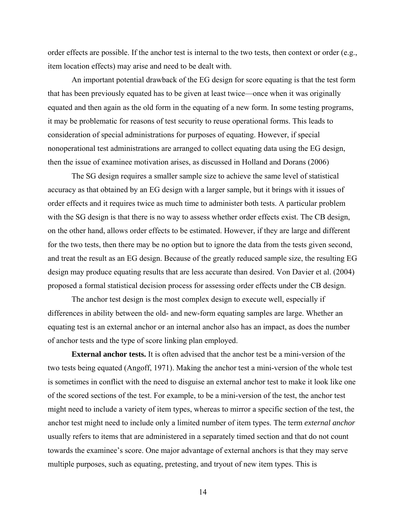order effects are possible. If the anchor test is internal to the two tests, then context or order  $(e.g.,)$ item location effects) may arise and need to be dealt with.

An important potential drawback of the EG design for score equating is that the test form that has been previously equated has to be given at least twice—once when it was originally equated and then again as the old form in the equating of a new form. In some testing programs, it may be problematic for reasons of test security to reuse operational forms. This leads to consideration of special administrations for purposes of equating. However, if special nonoperational test administrations are arranged to collect equating data using the EG design, then the issue of examinee motivation arises, as discussed in Holland and Dorans (2006)

The SG design requires a smaller sample size to achieve the same level of statistical accuracy as that obtained by an EG design with a larger sample, but it brings with it issues of order effects and it requires twice as much time to administer both tests. A particular problem with the SG design is that there is no way to assess whether order effects exist. The CB design, on the other hand, allows order effects to be estimated. However, if they are large and different for the two tests, then there may be no option but to ignore the data from the tests given second, and treat the result as an EG design. Because of the greatly reduced sample size, the resulting EG design may produce equating results that are less accurate than desired. Von Davier et al. (2004) proposed a formal statistical decision process for assessing order effects under the CB design.

The anchor test design is the most complex design to execute well, especially if differences in ability between the old- and new-form equating samples are large. Whether an equating test is an external anchor or an internal anchor also has an impact, as does the number of anchor tests and the type of score linking plan employed.

**External anchor tests.** It is often advised that the anchor test be a mini-version of the two tests being equated (Angoff, 1971). Making the anchor test a mini-version of the whole test is sometimes in conflict with the need to disguise an external anchor test to make it look like one of the scored sections of the test. For example, to be a mini-version of the test, the anchor test might need to include a variety of item types, whereas to mirror a specific section of the test, the anchor test might need to include only a limited number of item types. The term *external anchor* usually refers to items that are administered in a separately timed section and that do not count towards the examinee's score. One major advantage of external anchors is that they may serve multiple purposes, such as equating, pretesting, and tryout of new item types. This is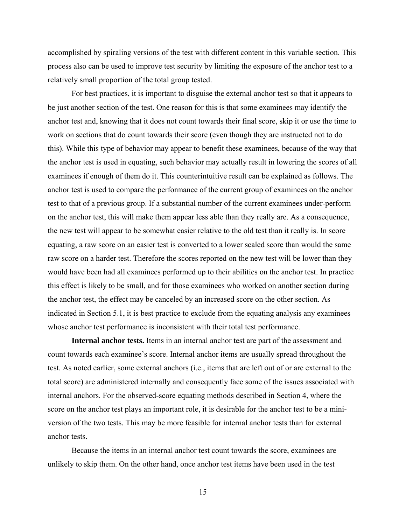accomplished by spiraling versions of the test with different content in this variable section. This process also can be used to improve test security by limiting the exposure of the anchor test to a relatively small proportion of the total group tested.

For best practices, it is important to disguise the external anchor test so that it appears to be just another section of the test. One reason for this is that some examinees may identify the anchor test and, knowing that it does not count towards their final score, skip it or use the time to work on sections that do count towards their score (even though they are instructed not to do this). While this type of behavior may appear to benefit these examinees, because of the way that the anchor test is used in equating, such behavior may actually result in lowering the scores of all examinees if enough of them do it. This counterintuitive result can be explained as follows. The anchor test is used to compare the performance of the current group of examinees on the anchor test to that of a previous group. If a substantial number of the current examinees under-perform on the anchor test, this will make them appear less able than they really are. As a consequence, the new test will appear to be somewhat easier relative to the old test than it really is. In score equating, a raw score on an easier test is converted to a lower scaled score than would the same raw score on a harder test. Therefore the scores reported on the new test will be lower than they would have been had all examinees performed up to their abilities on the anchor test. In practice this effect is likely to be small, and for those examinees who worked on another section during the anchor test, the effect may be canceled by an increased score on the other section. As indicated in Section 5.1, it is best practice to exclude from the equating analysis any examinees whose anchor test performance is inconsistent with their total test performance.

**Internal anchor tests.** Items in an internal anchor test are part of the assessment and count towards each examinee's score. Internal anchor items are usually spread throughout the test. As noted earlier, some external anchors (i.e., items that are left out of or are external to the total score) are administered internally and consequently face some of the issues associated with internal anchors. For the observed-score equating methods described in Section 4, where the score on the anchor test plays an important role, it is desirable for the anchor test to be a miniversion of the two tests. This may be more feasible for internal anchor tests than for external anchor tests.

Because the items in an internal anchor test count towards the score, examinees are unlikely to skip them. On the other hand, once anchor test items have been used in the test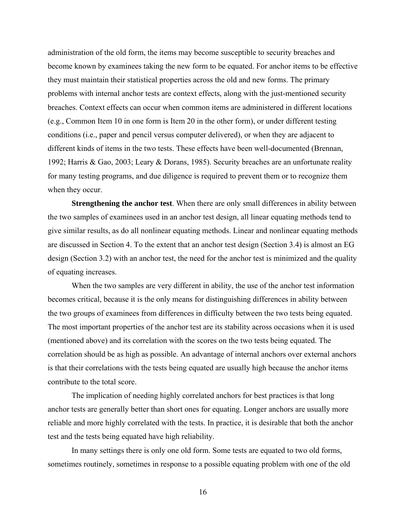administration of the old form, the items may become susceptible to security breaches and become known by examinees taking the new form to be equated. For anchor items to be effective they must maintain their statistical properties across the old and new forms. The primary problems with internal anchor tests are context effects, along with the just-mentioned security breaches. Context effects can occur when common items are administered in different locations (e.g., Common Item 10 in one form is Item 20 in the other form), or under different testing conditions (i.e., paper and pencil versus computer delivered), or when they are adjacent to different kinds of items in the two tests. These effects have been well-documented (Brennan, 1992; Harris & Gao, 2003; Leary & Dorans, 1985). Security breaches are an unfortunate reality for many testing programs, and due diligence is required to prevent them or to recognize them when they occur.

**Strengthening the anchor test**. When there are only small differences in ability between the two samples of examinees used in an anchor test design, all linear equating methods tend to give similar results, as do all nonlinear equating methods. Linear and nonlinear equating methods are discussed in Section 4. To the extent that an anchor test design (Section 3.4) is almost an EG design (Section 3.2) with an anchor test, the need for the anchor test is minimized and the quality of equating increases.

When the two samples are very different in ability, the use of the anchor test information becomes critical, because it is the only means for distinguishing differences in ability between the two groups of examinees from differences in difficulty between the two tests being equated. The most important properties of the anchor test are its stability across occasions when it is used (mentioned above) and its correlation with the scores on the two tests being equated. The correlation should be as high as possible. An advantage of internal anchors over external anchors is that their correlations with the tests being equated are usually high because the anchor items contribute to the total score.

The implication of needing highly correlated anchors for best practices is that long anchor tests are generally better than short ones for equating. Longer anchors are usually more reliable and more highly correlated with the tests. In practice, it is desirable that both the anchor test and the tests being equated have high reliability.

In many settings there is only one old form. Some tests are equated to two old forms, sometimes routinely, sometimes in response to a possible equating problem with one of the old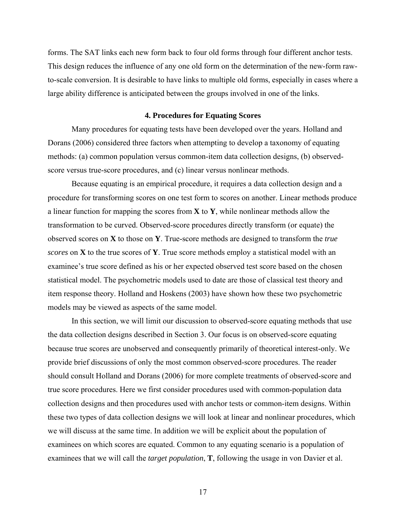forms. The SAT links each new form back to four old forms through four different anchor tests. This design reduces the influence of any one old form on the determination of the new-form rawto-scale conversion. It is desirable to have links to multiple old forms, especially in cases where a large ability difference is anticipated between the groups involved in one of the links.

#### **4. Procedures for Equating Scores**

Many procedures for equating tests have been developed over the years. Holland and Dorans (2006) considered three factors when attempting to develop a taxonomy of equating methods: (a) common population versus common-item data collection designs, (b) observedscore versus true-score procedures, and (c) linear versus nonlinear methods.

Because equating is an empirical procedure, it requires a data collection design and a procedure for transforming scores on one test form to scores on another. Linear methods produce a linear function for mapping the scores from **X** to **Y**, while nonlinear methods allow the transformation to be curved. Observed-score procedures directly transform (or equate) the observed scores on **X** to those on **Y**. True-score methods are designed to transform the *true scores* on **X** to the true scores of **Y**. True score methods employ a statistical model with an examinee's true score defined as his or her expected observed test score based on the chosen statistical model. The psychometric models used to date are those of classical test theory and item response theory. Holland and Hoskens (2003) have shown how these two psychometric models may be viewed as aspects of the same model.

In this section, we will limit our discussion to observed-score equating methods that use the data collection designs described in Section 3. Our focus is on observed-score equating because true scores are unobserved and consequently primarily of theoretical interest-only. We provide brief discussions of only the most common observed-score procedures. The reader should consult Holland and Dorans (2006) for more complete treatments of observed-score and true score procedures. Here we first consider procedures used with common-population data collection designs and then procedures used with anchor tests or common-item designs. Within these two types of data collection designs we will look at linear and nonlinear procedures, which we will discuss at the same time. In addition we will be explicit about the population of examinees on which scores are equated. Common to any equating scenario is a population of examinees that we will call the *target population*, **T**, following the usage in von Davier et al.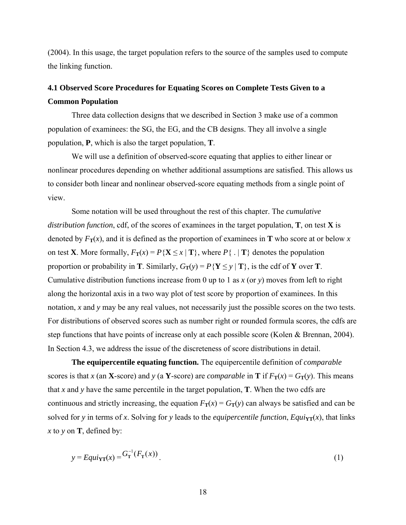(2004). In this usage, the target population refers to the source of the samples used to compute the linking function.

# **4.1 Observed Score Procedures for Equating Scores on Complete Tests Given to a Common Population**

Three data collection designs that we described in Section 3 make use of a common population of examinees: the SG, the EG, and the CB designs. They all involve a single population, **P**, which is also the target population, **T**.

We will use a definition of observed-score equating that applies to either linear or nonlinear procedures depending on whether additional assumptions are satisfied. This allows us to consider both linear and nonlinear observed-score equating methods from a single point of view.

Some notation will be used throughout the rest of this chapter. The *cumulative distribution function*, cdf, of the scores of examinees in the target population, **T**, on test **X** is denoted by  $F_T(x)$ , and it is defined as the proportion of examinees in **T** who score at or below x on test **X**. More formally,  $F_T(x) = P\{X \le x | T\}$ , where  $P\{.\mid T\}$  denotes the population proportion or probability in **T**. Similarly,  $G_T(y) = P(Y \le y | T)$ , is the cdf of **Y** over **T**. Cumulative distribution functions increase from 0 up to 1 as *x* (or *y*) moves from left to right along the horizontal axis in a two way plot of test score by proportion of examinees. In this notation, *x* and *y* may be any real values, not necessarily just the possible scores on the two tests. For distributions of observed scores such as number right or rounded formula scores, the cdfs are step functions that have points of increase only at each possible score (Kolen & Brennan, 2004). In Section 4.3, we address the issue of the discreteness of score distributions in detail.

**The equipercentile equating function.** The equipercentile definition of *comparable*  scores is that *x* (an **X**-score) and *y* (a **Y**-score) are *comparable* in **T** if  $F_T(x) = G_T(y)$ . This means that *x* and *y* have the same percentile in the target population, **T**. When the two cdfs are continuous and strictly increasing, the equation  $F_T(x) = G_T(y)$  can always be satisfied and can be solved for *y* in terms of *x*. Solving for *y* leads to the *equipercentile function*,  $Equity<sub>T</sub>(x)$ , that links *x* to *y* on **T**, defined by:

$$
y = Equi_{\mathbf{Y}\mathbf{T}}(x) = \frac{G_{\mathbf{T}}^{-1}(F_{\mathbf{T}}(x))}{\tag{1}}
$$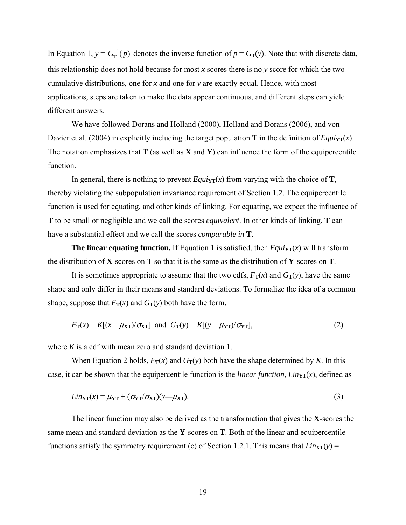In Equation 1,  $y = G_T^{-1}(p)$  denotes the inverse function of  $p = G_T(y)$ . Note that with discrete data, this relationship does not hold because for most *x* scores there is no *y* score for which the two cumulative distributions, one for *x* and one for *y* are exactly equal. Hence, with most applications, steps are taken to make the data appear continuous, and different steps can yield different answers.

We have followed Dorans and Holland (2000), Holland and Dorans (2006), and von Davier et al. (2004) in explicitly including the target population **T** in the definition of *Equivr*(*x*). The notation emphasizes that **T** (as well as **X** and **Y**) can influence the form of the equipercentile function.

In general, there is nothing to prevent  $Equi<sub>YT</sub>(x)$  from varying with the choice of **T**, thereby violating the subpopulation invariance requirement of Section 1.2. The equipercentile function is used for equating, and other kinds of linking. For equating, we expect the influence of **T** to be small or negligible and we call the scores *equivalent*. In other kinds of linking, **T** can have a substantial effect and we call the scores *comparable in* **T**.

**The linear equating function.** If Equation 1 is satisfied, then  $Equity<sub>T</sub>(x)$  will transform the distribution of **X**-scores on **T** so that it is the same as the distribution of **Y**-scores on **T**.

It is sometimes appropriate to assume that the two cdfs,  $F_T(x)$  and  $G_T(y)$ , have the same shape and only differ in their means and standard deviations. To formalize the idea of a common shape, suppose that  $F_T(x)$  and  $G_T(y)$  both have the form,

$$
F_{\mathbf{T}}(x) = K[(x - \mu_{\mathbf{XT}})/\sigma_{\mathbf{XT}}] \text{ and } G_{\mathbf{T}}(y) = K[(y - \mu_{\mathbf{YT}})/\sigma_{\mathbf{YT}}],
$$
\n(2)

where *K* is a cdf with mean zero and standard deviation 1.

When Equation 2 holds,  $F_T(x)$  and  $G_T(y)$  both have the shape determined by *K*. In this case, it can be shown that the equipercentile function is the *linear function*,  $Lin_{\text{YT}}(x)$ , defined as

$$
Lin_{\text{YT}}(x) = \mu_{\text{YT}} + (\sigma_{\text{YT}}/\sigma_{\text{XT}})(x - \mu_{\text{XT}}). \tag{3}
$$

The linear function may also be derived as the transformation that gives the **X**-scores the same mean and standard deviation as the **Y**-scores on **T**. Both of the linear and equipercentile functions satisfy the symmetry requirement (c) of Section 1.2.1. This means that  $\text{L}in_{\text{XT}}(y)$  =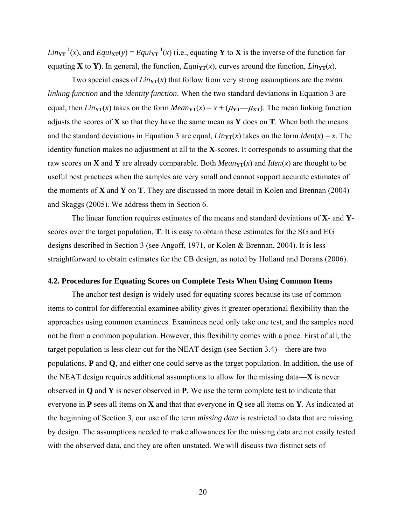*Lin***Y**<sup>-1</sup>(*x*), and *Equi***X**<sub>T</sub>(*y*) = *Equi***Y**<sub>T</sub><sup>-1</sup>(*x*) (i.e., equating **Y** to **X** is the inverse of the function for equating **X** to **Y**). In general, the function,  $Equi_{\text{YT}}(x)$ , curves around the function,  $Lin_{\text{YT}}(x)$ .

Two special cases of  $Lin_{YT}(x)$  that follow from very strong assumptions are the *mean linking function* and the *identity function*. When the two standard deviations in Equation 3 are equal, then  $Lin_{YT}(x)$  takes on the form  $Mean_{YT}(x) = x + (\mu_{YT} - \mu_{XT})$ . The mean linking function adjusts the scores of **X** so that they have the same mean as **Y** does on **T**. When both the means and the standard deviations in Equation 3 are equal,  $\text{Linv}_{\text{T}}(x)$  takes on the form  $\text{Iden}(x) = x$ . The identity function makes no adjustment at all to the **X**-scores. It corresponds to assuming that the raw scores on **X** and **Y** are already comparable. Both *Mean* $\gamma$ <sub>T</sub>(*x*) and *Iden*(*x*) are thought to be useful best practices when the samples are very small and cannot support accurate estimates of the moments of **X** and **Y** on **T**. They are discussed in more detail in Kolen and Brennan (2004) and Skaggs (2005). We address them in Section 6.

The linear function requires estimates of the means and standard deviations of **X**- and **Y**scores over the target population, **T**. It is easy to obtain these estimates for the SG and EG designs described in Section 3 (see Angoff, 1971, or Kolen & Brennan, 2004). It is less straightforward to obtain estimates for the CB design, as noted by Holland and Dorans (2006).

#### **4.2. Procedures for Equating Scores on Complete Tests When Using Common Items**

The anchor test design is widely used for equating scores because its use of common items to control for differential examinee ability gives it greater operational flexibility than the approaches using common examinees. Examinees need only take one test, and the samples need not be from a common population. However, this flexibility comes with a price. First of all, the target population is less clear-cut for the NEAT design (see Section 3.4)—there are two populations, **P** and **Q**, and either one could serve as the target population. In addition, the use of the NEAT design requires additional assumptions to allow for the missing data—**X** is never observed in **Q** and **Y** is never observed in **P**. We use the term complete test to indicate that everyone in **P** sees all items on **X** and that that everyone in **Q** see all items on **Y**. As indicated at the beginning of Section 3, our use of the term *missing data* is restricted to data that are missing by design. The assumptions needed to make allowances for the missing data are not easily tested with the observed data, and they are often unstated. We will discuss two distinct sets of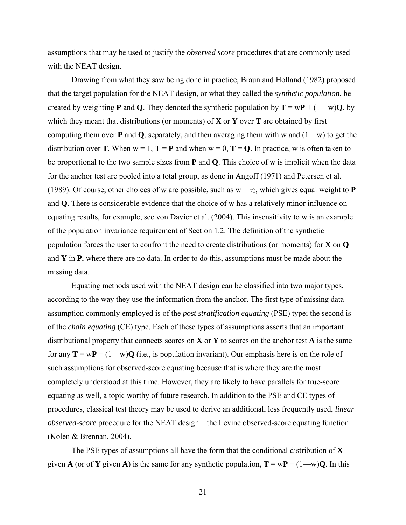assumptions that may be used to justify the *observed score* procedures that are commonly used with the NEAT design.

Drawing from what they saw being done in practice, Braun and Holland (1982) proposed that the target population for the NEAT design, or what they called the *synthetic population*, be created by weighting **P** and **Q**. They denoted the synthetic population by  $T = wP + (1-w)Q$ , by which they meant that distributions (or moments) of **X** or **Y** over **T** are obtained by first computing them over **P** and **Q**, separately, and then averaging them with w and  $(1 - w)$  to get the distribution over **T**. When  $w = 1$ , **T** = **P** and when  $w = 0$ , **T** = **Q**. In practice, w is often taken to be proportional to the two sample sizes from **P** and **Q**. This choice of w is implicit when the data for the anchor test are pooled into a total group, as done in Angoff (1971) and Petersen et al. (1989). Of course, other choices of w are possible, such as  $w = \frac{1}{2}$ , which gives equal weight to **P** and **Q**. There is considerable evidence that the choice of w has a relatively minor influence on equating results, for example, see von Davier et al. (2004). This insensitivity to w is an example of the population invariance requirement of Section 1.2. The definition of the synthetic population forces the user to confront the need to create distributions (or moments) for **X** on **Q** and **Y** in **P**, where there are no data. In order to do this, assumptions must be made about the missing data.

Equating methods used with the NEAT design can be classified into two major types, according to the way they use the information from the anchor. The first type of missing data assumption commonly employed is of the *post stratification equating* (PSE) type; the second is of the *chain equating* (CE) type. Each of these types of assumptions asserts that an important distributional property that connects scores on **X** or **Y** to scores on the anchor test **A** is the same for any  $T = wP + (1-w)Q$  (i.e., is population invariant). Our emphasis here is on the role of such assumptions for observed-score equating because that is where they are the most completely understood at this time. However, they are likely to have parallels for true-score equating as well, a topic worthy of future research. In addition to the PSE and CE types of procedures, classical test theory may be used to derive an additional, less frequently used, *linear observed-score* procedure for the NEAT design—the Levine observed-score equating function (Kolen & Brennan, 2004).

The PSE types of assumptions all have the form that the conditional distribution of **X** given **A** (or of **Y** given **A**) is the same for any synthetic population,  $T = wP + (1 - w)Q$ . In this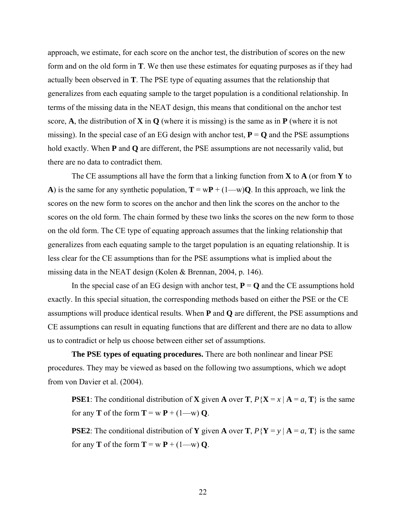approach, we estimate, for each score on the anchor test, the distribution of scores on the new form and on the old form in **T**. We then use these estimates for equating purposes as if they had actually been observed in **T**. The PSE type of equating assumes that the relationship that generalizes from each equating sample to the target population is a conditional relationship. In terms of the missing data in the NEAT design, this means that conditional on the anchor test score, **A**, the distribution of **X** in **Q** (where it is missing) is the same as in **P** (where it is not missing). In the special case of an EG design with anchor test,  $P = Q$  and the PSE assumptions hold exactly. When **P** and **Q** are different, the PSE assumptions are not necessarily valid, but there are no data to contradict them.

The CE assumptions all have the form that a linking function from **X** to **A** (or from **Y** to **A**) is the same for any synthetic population,  $\mathbf{T} = w\mathbf{P} + (1-w)\mathbf{Q}$ . In this approach, we link the scores on the new form to scores on the anchor and then link the scores on the anchor to the scores on the old form. The chain formed by these two links the scores on the new form to those on the old form. The CE type of equating approach assumes that the linking relationship that generalizes from each equating sample to the target population is an equating relationship. It is less clear for the CE assumptions than for the PSE assumptions what is implied about the missing data in the NEAT design (Kolen & Brennan, 2004, p. 146).

In the special case of an EG design with anchor test,  $P = Q$  and the CE assumptions hold exactly. In this special situation, the corresponding methods based on either the PSE or the CE assumptions will produce identical results. When **P** and **Q** are different, the PSE assumptions and CE assumptions can result in equating functions that are different and there are no data to allow us to contradict or help us choose between either set of assumptions.

**The PSE types of equating procedures.** There are both nonlinear and linear PSE procedures. They may be viewed as based on the following two assumptions, which we adopt from von Davier et al. (2004).

**PSE1**: The conditional distribution of **X** given **A** over **T**,  $P\{X = x \mid A = a, T\}$  is the same for any **T** of the form  $\mathbf{T} = w \mathbf{P} + (1 - w) \mathbf{Q}$ .

**PSE2**: The conditional distribution of **Y** given **A** over **T**,  $P{Y = y | A = a, T}$  is the same for any **T** of the form  $\mathbf{T} = w \mathbf{P} + (1 - w) \mathbf{Q}$ .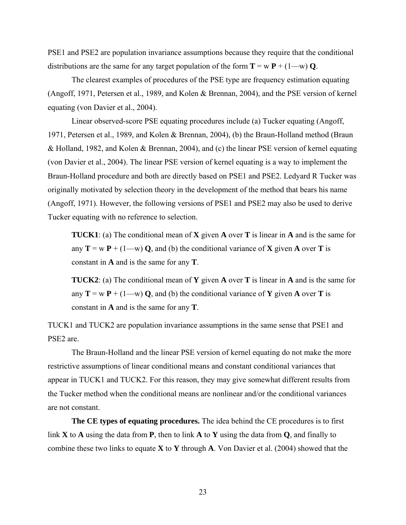PSE1 and PSE2 are population invariance assumptions because they require that the conditional distributions are the same for any target population of the form  $T = w P + (1 - w) Q$ .

The clearest examples of procedures of the PSE type are frequency estimation equating (Angoff, 1971, Petersen et al., 1989, and Kolen & Brennan, 2004), and the PSE version of kernel equating (von Davier et al., 2004).

Linear observed-score PSE equating procedures include (a) Tucker equating (Angoff, 1971, Petersen et al., 1989, and Kolen & Brennan, 2004), (b) the Braun-Holland method (Braun & Holland, 1982, and Kolen & Brennan, 2004), and (c) the linear PSE version of kernel equating (von Davier et al., 2004). The linear PSE version of kernel equating is a way to implement the Braun-Holland procedure and both are directly based on PSE1 and PSE2. Ledyard R Tucker was originally motivated by selection theory in the development of the method that bears his name (Angoff, 1971). However, the following versions of PSE1 and PSE2 may also be used to derive Tucker equating with no reference to selection.

**TUCK1**: (a) The conditional mean of **X** given **A** over **T** is linear in **A** and is the same for any  $T = w P + (1 - w) Q$ , and (b) the conditional variance of **X** given **A** over **T** is constant in **A** and is the same for any **T**.

**TUCK2**: (a) The conditional mean of **Y** given **A** over **T** is linear in **A** and is the same for any  $T = w P + (1 - w) Q$ , and (b) the conditional variance of Y given A over T is constant in **A** and is the same for any **T**.

TUCK1 and TUCK2 are population invariance assumptions in the same sense that PSE1 and PSE2 are.

The Braun-Holland and the linear PSE version of kernel equating do not make the more restrictive assumptions of linear conditional means and constant conditional variances that appear in TUCK1 and TUCK2. For this reason, they may give somewhat different results from the Tucker method when the conditional means are nonlinear and/or the conditional variances are not constant.

**The CE types of equating procedures.** The idea behind the CE procedures is to first link **X** to **A** using the data from **P**, then to link **A** to **Y** using the data from **Q**, and finally to combine these two links to equate **X** to **Y** through **A**. Von Davier et al. (2004) showed that the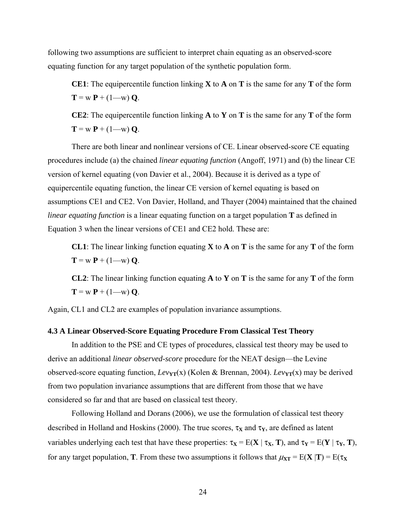following two assumptions are sufficient to interpret chain equating as an observed-score equating function for any target population of the synthetic population form.

**CE1**: The equipercentile function linking **X** to **A** on **T** is the same for any **T** of the form  $T = w P + (1 - w) Q$ .

**CE2**: The equipercentile function linking **A** to **Y** on **T** is the same for any **T** of the form  $T = w P + (1 - w) Q$ .

There are both linear and nonlinear versions of CE. Linear observed-score CE equating procedures include (a) the chained *linear equating function* (Angoff, 1971) and (b) the linear CE version of kernel equating (von Davier et al., 2004). Because it is derived as a type of equipercentile equating function, the linear CE version of kernel equating is based on assumptions CE1 and CE2. Von Davier, Holland, and Thayer (2004) maintained that the chained *linear equating function* is a linear equating function on a target population **T** as defined in Equation 3 when the linear versions of CE1 and CE2 hold. These are:

**CL1**: The linear linking function equating **X** to **A** on **T** is the same for any **T** of the form  $T = w P + (1 - w) Q$ .

**CL2**: The linear linking function equating **A** to **Y** on **T** is the same for any **T** of the form  $T = w P + (1 - w) Q$ .

Again, CL1 and CL2 are examples of population invariance assumptions.

# **4.3 A Linear Observed-Score Equating Procedure From Classical Test Theory**

In addition to the PSE and CE types of procedures, classical test theory may be used to derive an additional *linear observed-score* procedure for the NEAT design—the Levine observed-score equating function,  $Lev_{YT}(x)$  (Kolen & Brennan, 2004).  $Lev_{YT}(x)$  may be derived from two population invariance assumptions that are different from those that we have considered so far and that are based on classical test theory.

Following Holland and Dorans (2006), we use the formulation of classical test theory described in Holland and Hoskins (2000). The true scores,  $\tau_X$  and  $\tau_Y$ , are defined as latent variables underlying each test that have these properties:  $\tau_X = E(X | \tau_X, T)$ , and  $\tau_Y = E(Y | \tau_Y, T)$ , for any target population, **T**. From these two assumptions it follows that  $\mu_{XT} = E(X | T) = E(\tau_X)$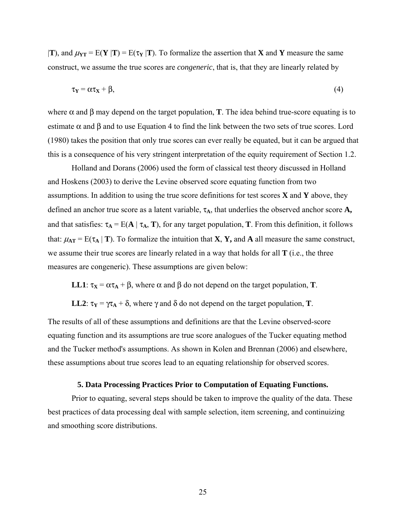$|\mathbf{T}\rangle$ , and  $\mu_{\mathbf{Y}\mathbf{T}} = E(\mathbf{Y}|\mathbf{T}) = E(\tau_{\mathbf{Y}}|\mathbf{T})$ . To formalize the assertion that **X** and **Y** measure the same construct, we assume the true scores are *congeneric*, that is, that they are linearly related by

$$
\tau_Y = \alpha \tau_X + \beta, \tag{4}
$$

where  $\alpha$  and  $\beta$  may depend on the target population, **T**. The idea behind true-score equating is to estimate  $\alpha$  and  $\beta$  and to use Equation 4 to find the link between the two sets of true scores. Lord (1980) takes the position that only true scores can ever really be equated, but it can be argued that this is a consequence of his very stringent interpretation of the equity requirement of Section 1.2.

Holland and Dorans (2006) used the form of classical test theory discussed in Holland and Hoskens (2003) to derive the Levine observed score equating function from two assumptions. In addition to using the true score definitions for test scores **X** and **Y** above, they defined an anchor true score as a latent variable,  $\tau_A$ , that underlies the observed anchor score  $A$ , and that satisfies:  $\tau_A = E(A | \tau_A, T)$ , for any target population, T. From this definition, it follows that:  $\mu_{AT} = E(\tau_A | T)$ . To formalize the intuition that **X**, **Y**, and **A** all measure the same construct, we assume their true scores are linearly related in a way that holds for all **T** (i.e., the three measures are congeneric). These assumptions are given below:

**LL1**:  $\tau_X = \alpha \tau_A + \beta$ , where  $\alpha$  and  $\beta$  do not depend on the target population, **T**.

**LL2**:  $\tau_Y = \gamma \tau_A + \delta$ , where  $\gamma$  and  $\delta$  do not depend on the target population, **T**.

The results of all of these assumptions and definitions are that the Levine observed-score equating function and its assumptions are true score analogues of the Tucker equating method and the Tucker method's assumptions. As shown in Kolen and Brennan (2006) and elsewhere, these assumptions about true scores lead to an equating relationship for observed scores.

#### **5. Data Processing Practices Prior to Computation of Equating Functions.**

Prior to equating, several steps should be taken to improve the quality of the data. These best practices of data processing deal with sample selection, item screening, and continuizing and smoothing score distributions.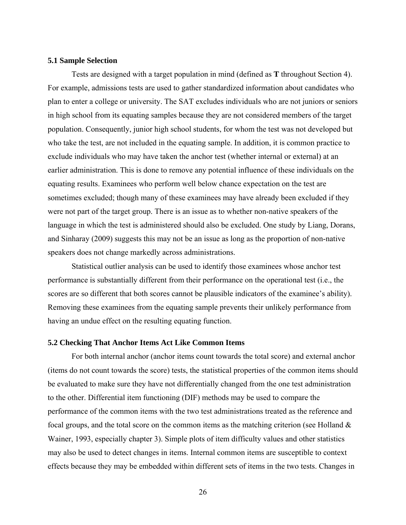## **5.1 Sample Selection**

Tests are designed with a target population in mind (defined as **T** throughout Section 4). For example, admissions tests are used to gather standardized information about candidates who plan to enter a college or university. The SAT excludes individuals who are not juniors or seniors in high school from its equating samples because they are not considered members of the target population. Consequently, junior high school students, for whom the test was not developed but who take the test, are not included in the equating sample. In addition, it is common practice to exclude individuals who may have taken the anchor test (whether internal or external) at an earlier administration. This is done to remove any potential influence of these individuals on the equating results. Examinees who perform well below chance expectation on the test are sometimes excluded; though many of these examinees may have already been excluded if they were not part of the target group. There is an issue as to whether non-native speakers of the language in which the test is administered should also be excluded. One study by Liang, Dorans, and Sinharay (2009) suggests this may not be an issue as long as the proportion of non-native speakers does not change markedly across administrations.

Statistical outlier analysis can be used to identify those examinees whose anchor test performance is substantially different from their performance on the operational test (i.e., the scores are so different that both scores cannot be plausible indicators of the examinee's ability). Removing these examinees from the equating sample prevents their unlikely performance from having an undue effect on the resulting equating function.

### **5.2 Checking That Anchor Items Act Like Common Items**

For both internal anchor (anchor items count towards the total score) and external anchor (items do not count towards the score) tests, the statistical properties of the common items should be evaluated to make sure they have not differentially changed from the one test administration to the other. Differential item functioning (DIF) methods may be used to compare the performance of the common items with the two test administrations treated as the reference and focal groups, and the total score on the common items as the matching criterion (see Holland  $\&$ Wainer, 1993, especially chapter 3). Simple plots of item difficulty values and other statistics may also be used to detect changes in items. Internal common items are susceptible to context effects because they may be embedded within different sets of items in the two tests. Changes in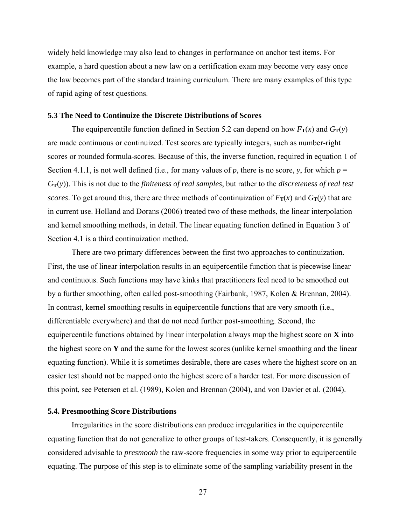widely held knowledge may also lead to changes in performance on anchor test items. For example, a hard question about a new law on a certification exam may become very easy once the law becomes part of the standard training curriculum. There are many examples of this type of rapid aging of test questions.

#### **5.3 The Need to Continuize the Discrete Distributions of Scores**

The equipercentile function defined in Section 5.2 can depend on how  $F_T(x)$  and  $G_T(y)$ are made continuous or continuized. Test scores are typically integers, such as number-right scores or rounded formula-scores. Because of this, the inverse function, required in equation 1 of Section 4.1.1, is not well defined (i.e., for many values of  $p$ , there is no score,  $y$ , for which  $p =$ *G***T**(*y*)). This is not due to the *finiteness of real samples*, but rather to the *discreteness of real test scores*. To get around this, there are three methods of continuization of  $F_T(x)$  and  $G_T(y)$  that are in current use. Holland and Dorans (2006) treated two of these methods, the linear interpolation and kernel smoothing methods, in detail. The linear equating function defined in Equation 3 of Section 4.1 is a third continuization method.

There are two primary differences between the first two approaches to continuization. First, the use of linear interpolation results in an equipercentile function that is piecewise linear and continuous. Such functions may have kinks that practitioners feel need to be smoothed out by a further smoothing, often called post-smoothing (Fairbank, 1987, Kolen & Brennan, 2004). In contrast, kernel smoothing results in equipercentile functions that are very smooth (i.e., differentiable everywhere) and that do not need further post-smoothing. Second, the equipercentile functions obtained by linear interpolation always map the highest score on **X** into the highest score on **Y** and the same for the lowest scores (unlike kernel smoothing and the linear equating function). While it is sometimes desirable, there are cases where the highest score on an easier test should not be mapped onto the highest score of a harder test. For more discussion of this point, see Petersen et al. (1989), Kolen and Brennan (2004), and von Davier et al. (2004).

# **5.4. Presmoothing Score Distributions**

Irregularities in the score distributions can produce irregularities in the equipercentile equating function that do not generalize to other groups of test-takers. Consequently, it is generally considered advisable to *presmooth* the raw-score frequencies in some way prior to equipercentile equating. The purpose of this step is to eliminate some of the sampling variability present in the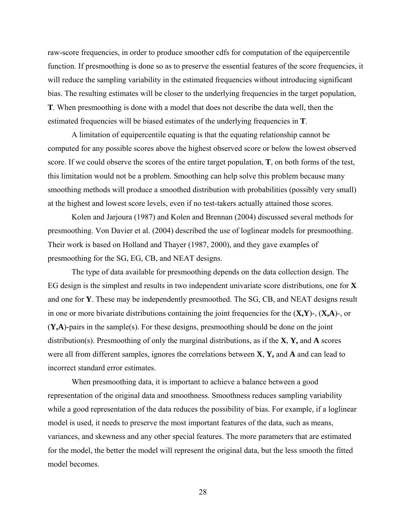raw-score frequencies, in order to produce smoother cdfs for computation of the equipercentile function. If presmoothing is done so as to preserve the essential features of the score frequencies, it will reduce the sampling variability in the estimated frequencies without introducing significant bias. The resulting estimates will be closer to the underlying frequencies in the target population, **T**. When presmoothing is done with a model that does not describe the data well, then the estimated frequencies will be biased estimates of the underlying frequencies in **T**.

A limitation of equipercentile equating is that the equating relationship cannot be computed for any possible scores above the highest observed score or below the lowest observed score. If we could observe the scores of the entire target population, **T**, on both forms of the test, this limitation would not be a problem. Smoothing can help solve this problem because many smoothing methods will produce a smoothed distribution with probabilities (possibly very small) at the highest and lowest score levels, even if no test-takers actually attained those scores.

Kolen and Jarjoura (1987) and Kolen and Brennan (2004) discussed several methods for presmoothing. Von Davier et al. (2004) described the use of loglinear models for presmoothing. Their work is based on Holland and Thayer (1987, 2000), and they gave examples of presmoothing for the SG, EG, CB, and NEAT designs.

The type of data available for presmoothing depends on the data collection design. The EG design is the simplest and results in two independent univariate score distributions, one for **X** and one for **Y**. These may be independently presmoothed. The SG, CB, and NEAT designs result in one or more bivariate distributions containing the joint frequencies for the (**X,Y**)-, (**X,A**)-, or (**Y,A**)-pairs in the sample(s). For these designs, presmoothing should be done on the joint distribution(s). Presmoothing of only the marginal distributions, as if the **X**, **Y,** and **A** scores were all from different samples, ignores the correlations between **X**, **Y,** and **A** and can lead to incorrect standard error estimates.

When presmoothing data, it is important to achieve a balance between a good representation of the original data and smoothness. Smoothness reduces sampling variability while a good representation of the data reduces the possibility of bias. For example, if a loglinear model is used, it needs to preserve the most important features of the data, such as means, variances, and skewness and any other special features. The more parameters that are estimated for the model, the better the model will represent the original data, but the less smooth the fitted model becomes.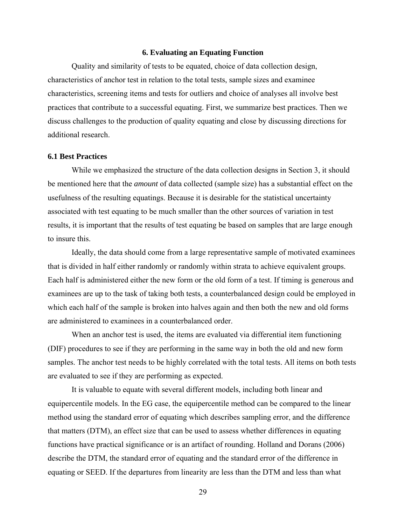## **6. Evaluating an Equating Function**

Quality and similarity of tests to be equated, choice of data collection design, characteristics of anchor test in relation to the total tests, sample sizes and examinee characteristics, screening items and tests for outliers and choice of analyses all involve best practices that contribute to a successful equating. First, we summarize best practices. Then we discuss challenges to the production of quality equating and close by discussing directions for additional research.

#### **6.1 Best Practices**

While we emphasized the structure of the data collection designs in Section 3, it should be mentioned here that the *amount* of data collected (sample size) has a substantial effect on the usefulness of the resulting equatings. Because it is desirable for the statistical uncertainty associated with test equating to be much smaller than the other sources of variation in test results, it is important that the results of test equating be based on samples that are large enough to insure this.

Ideally, the data should come from a large representative sample of motivated examinees that is divided in half either randomly or randomly within strata to achieve equivalent groups. Each half is administered either the new form or the old form of a test. If timing is generous and examinees are up to the task of taking both tests, a counterbalanced design could be employed in which each half of the sample is broken into halves again and then both the new and old forms are administered to examinees in a counterbalanced order.

When an anchor test is used, the items are evaluated via differential item functioning (DIF) procedures to see if they are performing in the same way in both the old and new form samples. The anchor test needs to be highly correlated with the total tests. All items on both tests are evaluated to see if they are performing as expected.

It is valuable to equate with several different models, including both linear and equipercentile models. In the EG case, the equipercentile method can be compared to the linear method using the standard error of equating which describes sampling error, and the difference that matters (DTM), an effect size that can be used to assess whether differences in equating functions have practical significance or is an artifact of rounding. Holland and Dorans (2006) describe the DTM, the standard error of equating and the standard error of the difference in equating or SEED. If the departures from linearity are less than the DTM and less than what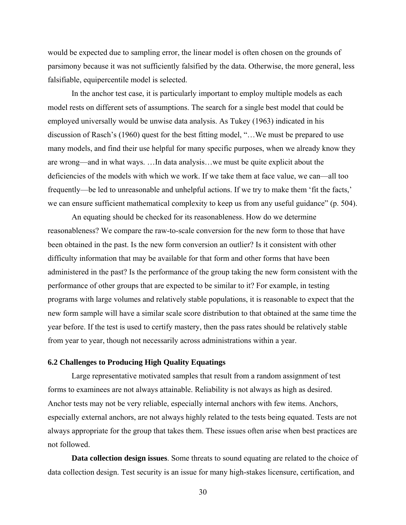would be expected due to sampling error, the linear model is often chosen on the grounds of parsimony because it was not sufficiently falsified by the data. Otherwise, the more general, less falsifiable, equipercentile model is selected.

In the anchor test case, it is particularly important to employ multiple models as each model rests on different sets of assumptions. The search for a single best model that could be employed universally would be unwise data analysis. As Tukey (1963) indicated in his discussion of Rasch's (1960) quest for the best fitting model, "…We must be prepared to use many models, and find their use helpful for many specific purposes, when we already know they are wrong—and in what ways. …In data analysis…we must be quite explicit about the deficiencies of the models with which we work. If we take them at face value, we can—all too frequently—be led to unreasonable and unhelpful actions. If we try to make them 'fit the facts,' we can ensure sufficient mathematical complexity to keep us from any useful guidance" (p. 504).

An equating should be checked for its reasonableness. How do we determine reasonableness? We compare the raw-to-scale conversion for the new form to those that have been obtained in the past. Is the new form conversion an outlier? Is it consistent with other difficulty information that may be available for that form and other forms that have been administered in the past? Is the performance of the group taking the new form consistent with the performance of other groups that are expected to be similar to it? For example, in testing programs with large volumes and relatively stable populations, it is reasonable to expect that the new form sample will have a similar scale score distribution to that obtained at the same time the year before. If the test is used to certify mastery, then the pass rates should be relatively stable from year to year, though not necessarily across administrations within a year.

# **6.2 Challenges to Producing High Quality Equatings**

Large representative motivated samples that result from a random assignment of test forms to examinees are not always attainable. Reliability is not always as high as desired. Anchor tests may not be very reliable, especially internal anchors with few items. Anchors, especially external anchors, are not always highly related to the tests being equated. Tests are not always appropriate for the group that takes them. These issues often arise when best practices are not followed.

**Data collection design issues**. Some threats to sound equating are related to the choice of data collection design. Test security is an issue for many high-stakes licensure, certification, and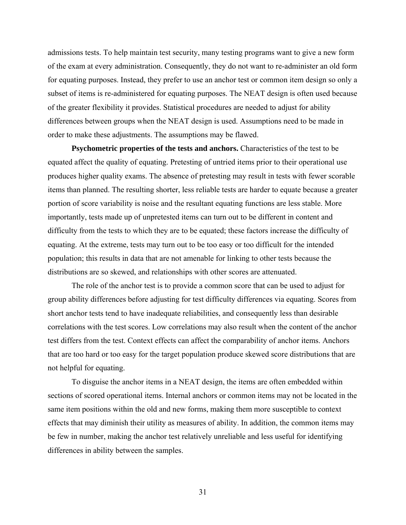admissions tests. To help maintain test security, many testing programs want to give a new form of the exam at every administration. Consequently, they do not want to re-administer an old form for equating purposes. Instead, they prefer to use an anchor test or common item design so only a subset of items is re-administered for equating purposes. The NEAT design is often used because of the greater flexibility it provides. Statistical procedures are needed to adjust for ability differences between groups when the NEAT design is used. Assumptions need to be made in order to make these adjustments. The assumptions may be flawed.

**Psychometric properties of the tests and anchors.** Characteristics of the test to be equated affect the quality of equating. Pretesting of untried items prior to their operational use produces higher quality exams. The absence of pretesting may result in tests with fewer scorable items than planned. The resulting shorter, less reliable tests are harder to equate because a greater portion of score variability is noise and the resultant equating functions are less stable. More importantly, tests made up of unpretested items can turn out to be different in content and difficulty from the tests to which they are to be equated; these factors increase the difficulty of equating. At the extreme, tests may turn out to be too easy or too difficult for the intended population; this results in data that are not amenable for linking to other tests because the distributions are so skewed, and relationships with other scores are attenuated.

The role of the anchor test is to provide a common score that can be used to adjust for group ability differences before adjusting for test difficulty differences via equating. Scores from short anchor tests tend to have inadequate reliabilities, and consequently less than desirable correlations with the test scores. Low correlations may also result when the content of the anchor test differs from the test. Context effects can affect the comparability of anchor items. Anchors that are too hard or too easy for the target population produce skewed score distributions that are not helpful for equating.

To disguise the anchor items in a NEAT design, the items are often embedded within sections of scored operational items. Internal anchors or common items may not be located in the same item positions within the old and new forms, making them more susceptible to context effects that may diminish their utility as measures of ability. In addition, the common items may be few in number, making the anchor test relatively unreliable and less useful for identifying differences in ability between the samples.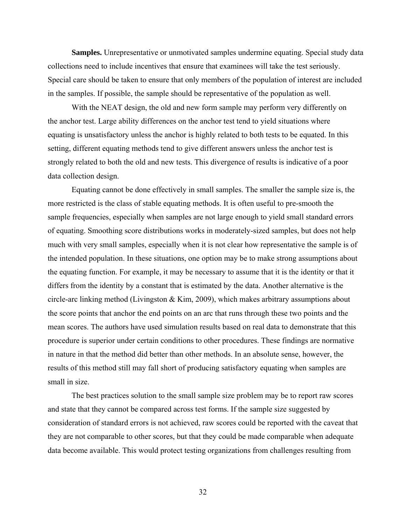**Samples.** Unrepresentative or unmotivated samples undermine equating. Special study data collections need to include incentives that ensure that examinees will take the test seriously. Special care should be taken to ensure that only members of the population of interest are included in the samples. If possible, the sample should be representative of the population as well.

With the NEAT design, the old and new form sample may perform very differently on the anchor test. Large ability differences on the anchor test tend to yield situations where equating is unsatisfactory unless the anchor is highly related to both tests to be equated. In this setting, different equating methods tend to give different answers unless the anchor test is strongly related to both the old and new tests. This divergence of results is indicative of a poor data collection design.

Equating cannot be done effectively in small samples. The smaller the sample size is, the more restricted is the class of stable equating methods. It is often useful to pre-smooth the sample frequencies, especially when samples are not large enough to yield small standard errors of equating. Smoothing score distributions works in moderately-sized samples, but does not help much with very small samples, especially when it is not clear how representative the sample is of the intended population. In these situations, one option may be to make strong assumptions about the equating function. For example, it may be necessary to assume that it is the identity or that it differs from the identity by a constant that is estimated by the data. Another alternative is the circle-arc linking method (Livingston & Kim, 2009), which makes arbitrary assumptions about the score points that anchor the end points on an arc that runs through these two points and the mean scores. The authors have used simulation results based on real data to demonstrate that this procedure is superior under certain conditions to other procedures. These findings are normative in nature in that the method did better than other methods. In an absolute sense, however, the results of this method still may fall short of producing satisfactory equating when samples are small in size.

The best practices solution to the small sample size problem may be to report raw scores and state that they cannot be compared across test forms. If the sample size suggested by consideration of standard errors is not achieved, raw scores could be reported with the caveat that they are not comparable to other scores, but that they could be made comparable when adequate data become available. This would protect testing organizations from challenges resulting from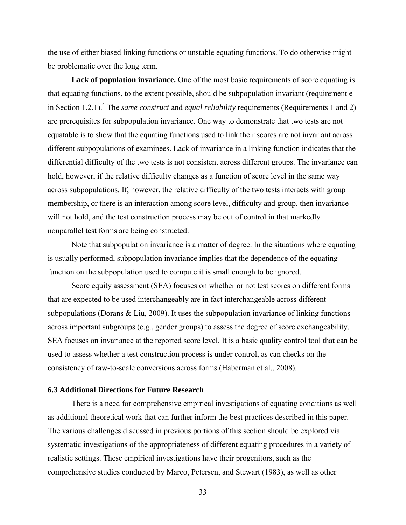the use of either biased linking functions or unstable equating functions. To do otherwise might be problematic over the long term.

Lack of population invariance. One of the most basic requirements of score equating is that equating functions, to the extent possible, should be subpopulation invariant (requirement e in Section 1.2.1).<sup>4</sup> The *same construct* and *equal reliability* requirements (Requirements 1 and 2) are prerequisites for subpopulation invariance. One way to demonstrate that two tests are not equatable is to show that the equating functions used to link their scores are not invariant across different subpopulations of examinees. Lack of invariance in a linking function indicates that the differential difficulty of the two tests is not consistent across different groups. The invariance can hold, however, if the relative difficulty changes as a function of score level in the same way across subpopulations. If, however, the relative difficulty of the two tests interacts with group membership, or there is an interaction among score level, difficulty and group, then invariance will not hold, and the test construction process may be out of control in that markedly nonparallel test forms are being constructed.

Note that subpopulation invariance is a matter of degree. In the situations where equating is usually performed, subpopulation invariance implies that the dependence of the equating function on the subpopulation used to compute it is small enough to be ignored.

Score equity assessment (SEA) focuses on whether or not test scores on different forms that are expected to be used interchangeably are in fact interchangeable across different subpopulations (Dorans & Liu, 2009). It uses the subpopulation invariance of linking functions across important subgroups (e.g., gender groups) to assess the degree of score exchangeability. SEA focuses on invariance at the reported score level. It is a basic quality control tool that can be used to assess whether a test construction process is under control, as can checks on the consistency of raw-to-scale conversions across forms (Haberman et al., 2008).

#### **6.3 Additional Directions for Future Research**

There is a need for comprehensive empirical investigations of equating conditions as well as additional theoretical work that can further inform the best practices described in this paper. The various challenges discussed in previous portions of this section should be explored via systematic investigations of the appropriateness of different equating procedures in a variety of realistic settings. These empirical investigations have their progenitors, such as the comprehensive studies conducted by Marco, Petersen, and Stewart (1983), as well as other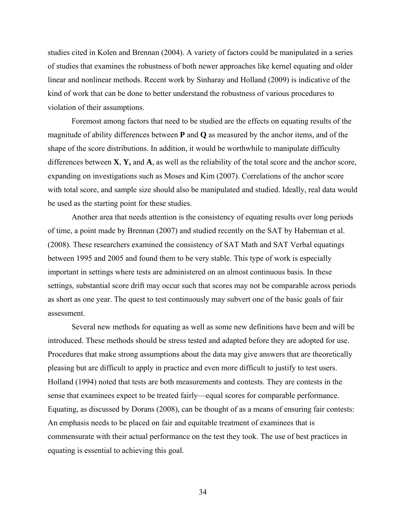studies cited in Kolen and Brennan (2004). A variety of factors could be manipulated in a series of studies that examines the robustness of both newer approaches like kernel equating and older linear and nonlinear methods. Recent work by Sinharay and Holland (2009) is indicative of the kind of work that can be done to better understand the robustness of various procedures to violation of their assumptions.

Foremost among factors that need to be studied are the effects on equating results of the magnitude of ability differences between **P** and **Q** as measured by the anchor items, and of the shape of the score distributions. In addition, it would be worthwhile to manipulate difficulty differences between **X**, **Y,** and **A**, as well as the reliability of the total score and the anchor score, expanding on investigations such as Moses and Kim (2007). Correlations of the anchor score with total score, and sample size should also be manipulated and studied. Ideally, real data would be used as the starting point for these studies.

Another area that needs attention is the consistency of equating results over long periods of time, a point made by Brennan (2007) and studied recently on the SAT by Haberman et al. (2008). These researchers examined the consistency of SAT Math and SAT Verbal equatings between 1995 and 2005 and found them to be very stable. This type of work is especially important in settings where tests are administered on an almost continuous basis. In these settings, substantial score drift may occur such that scores may not be comparable across periods as short as one year. The quest to test continuously may subvert one of the basic goals of fair assessment.

Several new methods for equating as well as some new definitions have been and will be introduced. These methods should be stress tested and adapted before they are adopted for use. Procedures that make strong assumptions about the data may give answers that are theoretically pleasing but are difficult to apply in practice and even more difficult to justify to test users. Holland (1994) noted that tests are both measurements and contests. They are contests in the sense that examinees expect to be treated fairly—equal scores for comparable performance. Equating, as discussed by Dorans (2008), can be thought of as a means of ensuring fair contests: An emphasis needs to be placed on fair and equitable treatment of examinees that is commensurate with their actual performance on the test they took. The use of best practices in equating is essential to achieving this goal.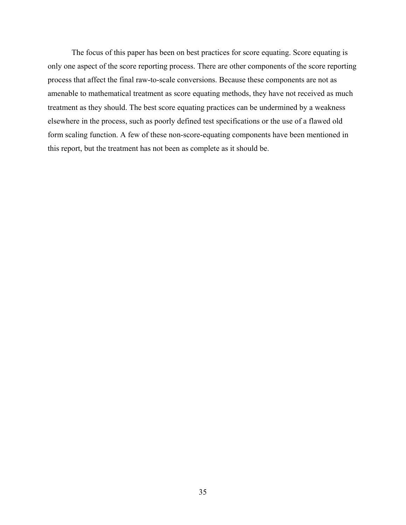The focus of this paper has been on best practices for score equating. Score equating is only one aspect of the score reporting process. There are other components of the score reporting process that affect the final raw-to-scale conversions. Because these components are not as amenable to mathematical treatment as score equating methods, they have not received as much treatment as they should. The best score equating practices can be undermined by a weakness elsewhere in the process, such as poorly defined test specifications or the use of a flawed old form scaling function. A few of these non-score-equating components have been mentioned in this report, but the treatment has not been as complete as it should be.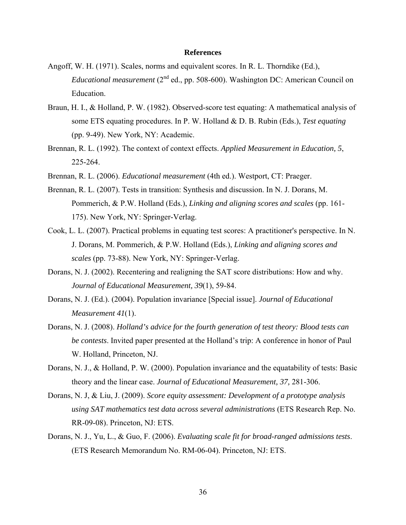### **References**

- Angoff, W. H. (1971). Scales, norms and equivalent scores. In R. L. Thorndike (Ed.), *Educational measurement* (2<sup>nd</sup> ed., pp. 508-600). Washington DC: American Council on Education.
- Braun, H. I., & Holland, P. W. (1982). Observed-score test equating: A mathematical analysis of some ETS equating procedures. In P. W. Holland & D. B. Rubin (Eds.), *Test equating* (pp. 9-49). New York, NY: Academic.
- Brennan, R. L. (1992). The context of context effects. *Applied Measurement in Education, 5*, 225-264.
- Brennan, R. L. (2006). *Educational measurement* (4th ed.). Westport, CT: Praeger.
- Brennan, R. L. (2007). Tests in transition: Synthesis and discussion. In N. J. Dorans, M. Pommerich, & P.W. Holland (Eds.), *Linking and aligning scores and scales* (pp. 161- 175). New York, NY: Springer-Verlag.
- Cook, L. L. (2007). Practical problems in equating test scores: A practitioner's perspective. In N. J. Dorans, M. Pommerich, & P.W. Holland (Eds.), *Linking and aligning scores and scales* (pp. 73-88). New York, NY: Springer-Verlag.
- Dorans, N. J. (2002). Recentering and realigning the SAT score distributions: How and why. *Journal of Educational Measurement, 39*(1), 59-84.
- Dorans, N. J. (Ed.). (2004). Population invariance [Special issue]. *Journal of Educational Measurement 41*(1).
- Dorans, N. J. (2008). *Holland's advice for the fourth generation of test theory: Blood tests can be contests*. Invited paper presented at the Holland's trip: A conference in honor of Paul W. Holland, Princeton, NJ.
- Dorans, N. J., & Holland, P. W. (2000). Population invariance and the equatability of tests: Basic theory and the linear case. *Journal of Educational Measurement, 37,* 281-306.
- Dorans, N. J, & Liu, J. (2009). *Score equity assessment: Development of a prototype analysis using SAT mathematics test data across several administrations* (ETS Research Rep. No. RR-09-08). Princeton, NJ: ETS.
- Dorans, N. J., Yu, L., & Guo, F. (2006). *Evaluating scale fit for broad-ranged admissions tests*. (ETS Research Memorandum No. RM-06-04). Princeton, NJ: ETS.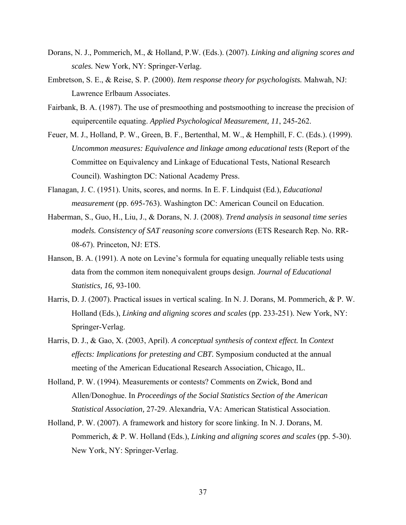- Dorans, N. J., Pommerich, M., & Holland, P.W. (Eds.). (2007). *Linking and aligning scores and scales.* New York, NY: Springer-Verlag.
- Embretson, S. E., & Reise, S. P. (2000). *Item response theory for psychologists.* Mahwah, NJ: Lawrence Erlbaum Associates.
- Fairbank, B. A. (1987). The use of presmoothing and postsmoothing to increase the precision of equipercentile equating. *Applied Psychological Measurement, 11*, 245-262.
- Feuer, M. J., Holland, P. W., Green, B. F., Bertenthal, M. W., & Hemphill, F. C. (Eds.). (1999). *Uncommon measures: Equivalence and linkage among educational tests* (Report of the Committee on Equivalency and Linkage of Educational Tests, National Research Council). Washington DC: National Academy Press.
- Flanagan, J. C. (1951). Units, scores, and norms. In E. F. Lindquist (Ed.), *Educational measurement* (pp. 695-763). Washington DC: American Council on Education.
- Haberman, S., Guo, H., Liu, J., & Dorans, N. J. (2008). *Trend analysis in seasonal time series models. Consistency of SAT reasoning score conversions* (ETS Research Rep. No. RR-08-67). Princeton, NJ: ETS.
- Hanson, B. A. (1991). A note on Levine's formula for equating unequally reliable tests using data from the common item nonequivalent groups design. *Journal of Educational Statistics, 16,* 93-100.
- Harris, D. J. (2007). Practical issues in vertical scaling. In N. J. Dorans, M. Pommerich, & P. W. Holland (Eds.), *Linking and aligning scores and scales* (pp. 233-251). New York, NY: Springer-Verlag.
- Harris, D. J., & Gao, X. (2003, April). *A conceptual synthesis of context effect.* In *Context effects: Implications for pretesting and CBT.* Symposium conducted at the annual meeting of the American Educational Research Association, Chicago, IL.
- Holland, P. W. (1994). Measurements or contests? Comments on Zwick, Bond and Allen/Donoghue. In *Proceedings of the Social Statistics Section of the American Statistical Association,* 27-29. Alexandria, VA: American Statistical Association.
- Holland, P. W. (2007). A framework and history for score linking. In N. J. Dorans, M. Pommerich, & P. W. Holland (Eds.), *Linking and aligning scores and scales* (pp. 5-30). New York, NY: Springer-Verlag.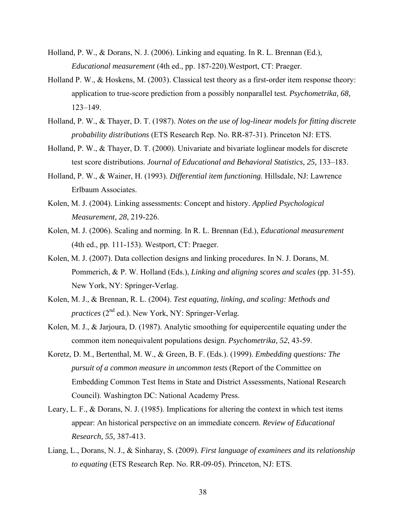- Holland, P. W., & Dorans, N. J. (2006). Linking and equating. In R. L. Brennan (Ed.), *Educational measurement* (4th ed., pp. 187-220).Westport, CT: Praeger.
- Holland P. W., & Hoskens, M. (2003). Classical test theory as a first-order item response theory: application to true-score prediction from a possibly nonparallel test*. Psychometrika, 68,* 123–149.
- Holland, P. W., & Thayer, D. T. (1987). *Notes on the use of log-linear models for fitting discrete probability distributions* (ETS Research Rep. No. RR-87-31). Princeton NJ: ETS.
- Holland, P. W., & Thayer, D. T. (2000). Univariate and bivariate loglinear models for discrete test score distributions. *Journal of Educational and Behavioral Statistics, 25,* 133–183.
- Holland, P. W., & Wainer, H. (1993). *Differential item functioning.* Hillsdale, NJ: Lawrence Erlbaum Associates.
- Kolen, M. J. (2004). Linking assessments: Concept and history. *Applied Psychological Measurement, 28*, 219-226.
- Kolen, M. J. (2006). Scaling and norming. In R. L. Brennan (Ed.), *Educational measurement*  (4th ed., pp. 111-153). Westport, CT: Praeger.
- Kolen, M. J. (2007). Data collection designs and linking procedures. In N. J. Dorans, M. Pommerich, & P. W. Holland (Eds.), *Linking and aligning scores and scales* (pp. 31-55). New York, NY: Springer-Verlag.
- Kolen, M. J., & Brennan, R. L. (2004). *Test equating, linking, and scaling: Methods and practices* (2<sup>nd</sup> ed.). New York, NY: Springer-Verlag.
- Kolen, M. J., & Jarjoura, D. (1987). Analytic smoothing for equipercentile equating under the common item nonequivalent populations design. *Psychometrika, 52*, 43-59.
- Koretz, D. M., Bertenthal, M. W., & Green, B. F. (Eds.). (1999). *Embedding questions: The pursuit of a common measure in uncommon tests* (Report of the Committee on Embedding Common Test Items in State and District Assessments, National Research Council). Washington DC: National Academy Press.
- Leary, L. F., & Dorans, N. J. (1985). Implications for altering the context in which test items appear: An historical perspective on an immediate concern. *Review of Educational Research, 55,* 387-413.
- Liang, L., Dorans, N. J., & Sinharay, S. (2009). *First language of examinees and its relationship to equating* (ETS Research Rep. No. RR-09-05). Princeton, NJ: ETS.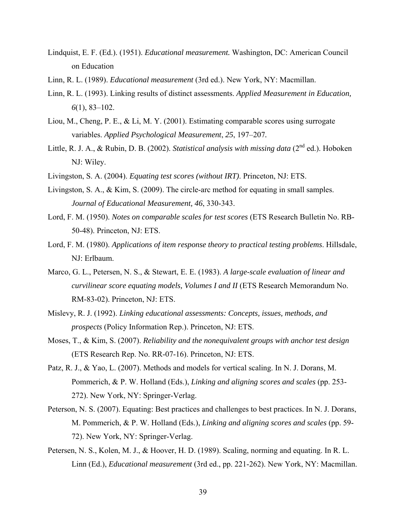- Lindquist, E. F. (Ed.). (1951). *Educational measurement.* Washington, DC: American Council on Education
- Linn, R. L. (1989). *Educational measurement* (3rd ed.). New York, NY: Macmillan.
- Linn, R. L. (1993). Linking results of distinct assessments. *Applied Measurement in Education, 6*(1), 83–102.
- Liou, M., Cheng, P. E., & Li, M. Y. (2001). Estimating comparable scores using surrogate variables. *Applied Psychological Measurement*, *25*, 197–207*.*
- Little, R. J. A., & Rubin, D. B. (2002). *Statistical analysis with missing data* (2<sup>nd</sup> ed.). Hoboken NJ: Wiley.
- Livingston, S. A. (2004). *Equating test scores (without IRT)*. Princeton, NJ: ETS.
- Livingston, S. A., & Kim, S. (2009). The circle-arc method for equating in small samples. *Journal of Educational Measurement, 46*, 330-343.
- Lord, F. M. (1950). *Notes on comparable scales for test scores* (ETS Research Bulletin No. RB-50-48). Princeton, NJ: ETS.
- Lord, F. M. (1980). *Applications of item response theory to practical testing problems*. Hillsdale, NJ: Erlbaum.
- Marco, G. L., Petersen, N. S., & Stewart, E. E. (1983). *A large-scale evaluation of linear and curvilinear score equating models, Volumes I and II* (ETS Research Memorandum No. RM-83-02). Princeton, NJ: ETS.
- Mislevy, R. J. (1992). *Linking educational assessments: Concepts, issues, methods, and prospects* (Policy Information Rep.). Princeton, NJ: ETS.
- Moses, T., & Kim, S. (2007). *Reliability and the nonequivalent groups with anchor test design* (ETS Research Rep. No. RR-07-16). Princeton, NJ: ETS.
- Patz, R. J., & Yao, L. (2007). Methods and models for vertical scaling. In N. J. Dorans, M. Pommerich, & P. W. Holland (Eds.), *Linking and aligning scores and scales* (pp. 253- 272). New York, NY: Springer-Verlag.
- Peterson, N. S. (2007). Equating: Best practices and challenges to best practices. In N. J. Dorans, M. Pommerich, & P. W. Holland (Eds.), *Linking and aligning scores and scales* (pp. 59- 72). New York, NY: Springer-Verlag.
- Petersen, N. S., Kolen, M. J., & Hoover, H. D. (1989). Scaling, norming and equating. In R. L. Linn (Ed.), *Educational measurement* (3rd ed., pp. 221-262). New York, NY: Macmillan.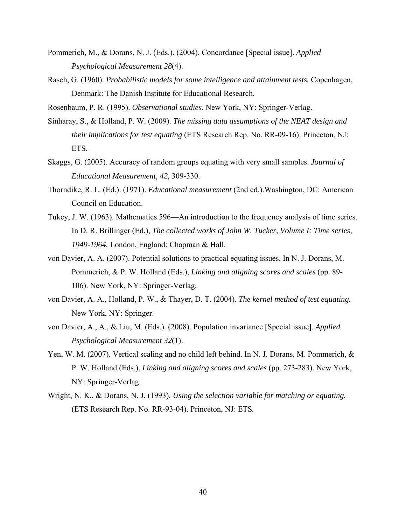- Pommerich, M., & Dorans, N. J. (Eds.). (2004). Concordance [Special issue]. *Applied Psychological Measurement 28*(4).
- Rasch, G. (1960). *Probabilistic models for some intelligence and attainment tests.* Copenhagen, Denmark: The Danish Institute for Educational Research.
- Rosenbaum, P. R. (1995). *Observational studies*. New York, NY: Springer-Verlag.
- Sinharay, S., & Holland, P. W. (2009). *The missing data assumptions of the NEAT design and their implications for test equating* (ETS Research Rep. No. RR-09-16). Princeton, NJ: ETS.
- Skaggs, G. (2005). Accuracy of random groups equating with very small samples. *Journal of Educational Measurement, 42,* 309-330.
- Thorndike, R. L. (Ed.). (1971). *Educational measurement* (2nd ed.).Washington, DC: American Council on Education.
- Tukey, J. W. (1963). Mathematics 596—An introduction to the frequency analysis of time series. In D. R. Brillinger (Ed.), *The collected works of John W. Tucker, Volume I: Time series, 1949-1964.* London, England: Chapman & Hall.
- von Davier, A. A. (2007). Potential solutions to practical equating issues. In N. J. Dorans, M. Pommerich, & P. W. Holland (Eds.), *Linking and aligning scores and scales* (pp. 89- 106). New York, NY: Springer-Verlag.
- von Davier, A. A., Holland, P. W., & Thayer, D. T. (2004). *The kernel method of test equating.* New York, NY: Springer.
- von Davier, A., A., & Liu, M. (Eds.). (2008). Population invariance [Special issue]. *Applied Psychological Measurement 32*(1).
- Yen, W. M. (2007). Vertical scaling and no child left behind. In N. J. Dorans, M. Pommerich, & P. W. Holland (Eds.), *Linking and aligning scores and scales* (pp. 273-283). New York, NY: Springer-Verlag.
- Wright, N. K., & Dorans, N. J. (1993). *Using the selection variable for matching or equating.*  (ETS Research Rep. No. RR-93-04). Princeton, NJ: ETS*.*